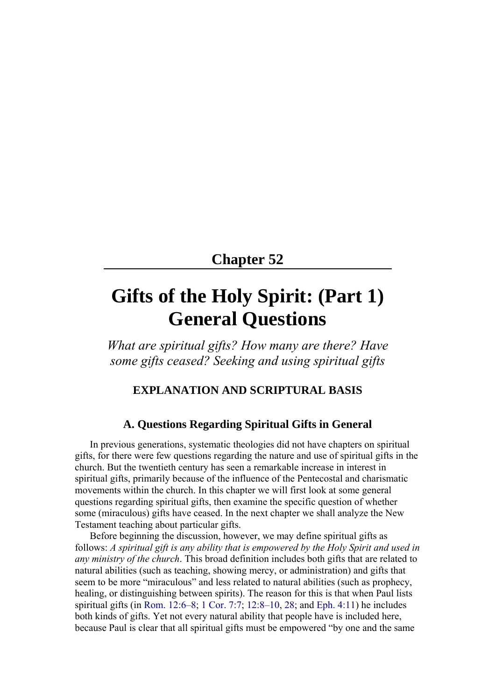# **Gifts of the Holy Spirit: (Part 1) General Questions**

*What are spiritual gifts? How many are there? Have some gifts ceased? Seeking and using spiritual gifts*

# **EXPLANATION AND SCRIPTURAL BASIS**

# **A. Questions Regarding Spiritual Gifts in General**

In previous generations, systematic theologies did not have chapters on spiritual gifts, for there were few questions regarding the nature and use of spiritual gifts in the church. But the twentieth century has seen a remarkable increase in interest in spiritual gifts, primarily because of the influence of the Pentecostal and charismatic movements within the church. In this chapter we will first look at some general questions regarding spiritual gifts, then examine the specific question of whether some (miraculous) gifts have ceased. In the next chapter we shall analyze the New Testament teaching about particular gifts.

Before beginning the discussion, however, we may define spiritual gifts as follows: *A spiritual gift is any ability that is empowered by the Holy Spirit and used in any ministry of the church*. This broad definition includes both gifts that are related to natural abilities (such as teaching, showing mercy, or administration) and gifts that seem to be more "miraculous" and less related to natural abilities (such as prophecy, healing, or distinguishing between spirits). The reason for this is that when Paul lists spiritual gifts (in Rom. 12:6–8; 1 Cor. 7:7; 12:8–10, 28; and Eph. 4:11) he includes both kinds of gifts. Yet not every natural ability that people have is included here, because Paul is clear that all spiritual gifts must be empowered "by one and the same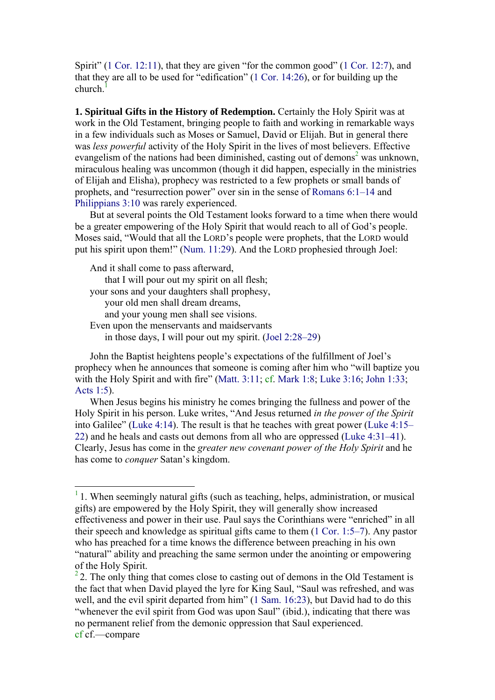Spirit" (1 Cor. 12:11), that they are given "for the common good" (1 Cor. 12:7), and that they are all to be used for "edification" (1 Cor. 14:26), or for building up the  $church$ 

**1. Spiritual Gifts in the History of Redemption.** Certainly the Holy Spirit was at work in the Old Testament, bringing people to faith and working in remarkable ways in a few individuals such as Moses or Samuel, David or Elijah. But in general there was *less powerful* activity of the Holy Spirit in the lives of most believers. Effective evangelism of the nations had been diminished, casting out of demons<sup>2</sup> was unknown, miraculous healing was uncommon (though it did happen, especially in the ministries of Elijah and Elisha), prophecy was restricted to a few prophets or small bands of prophets, and "resurrection power" over sin in the sense of Romans 6:1–14 and Philippians 3:10 was rarely experienced.

But at several points the Old Testament looks forward to a time when there would be a greater empowering of the Holy Spirit that would reach to all of God's people. Moses said, "Would that all the LORD's people were prophets, that the LORD would put his spirit upon them!" (Num. 11:29). And the LORD prophesied through Joel:

And it shall come to pass afterward, that I will pour out my spirit on all flesh; your sons and your daughters shall prophesy, your old men shall dream dreams, and your young men shall see visions. Even upon the menservants and maidservants in those days, I will pour out my spirit. (Joel 2:28–29)

 $\overline{a}$ 

John the Baptist heightens people's expectations of the fulfillment of Joel's prophecy when he announces that someone is coming after him who "will baptize you with the Holy Spirit and with fire" (Matt. 3:11; cf. Mark 1:8; Luke 3:16; John 1:33; Acts 1:5).

When Jesus begins his ministry he comes bringing the fullness and power of the Holy Spirit in his person. Luke writes, "And Jesus returned *in the power of the Spirit* into Galilee" (Luke 4:14). The result is that he teaches with great power (Luke 4:15– 22) and he heals and casts out demons from all who are oppressed (Luke 4:31–41). Clearly, Jesus has come in the *greater new covenant power of the Holy Spirit* and he has come to *conquer* Satan's kingdom.

 $1$ . When seemingly natural gifts (such as teaching, helps, administration, or musical gifts) are empowered by the Holy Spirit, they will generally show increased effectiveness and power in their use. Paul says the Corinthians were "enriched" in all their speech and knowledge as spiritual gifts came to them (1 Cor. 1:5–7). Any pastor who has preached for a time knows the difference between preaching in his own "natural" ability and preaching the same sermon under the anointing or empowering of the Holy Spirit.

 $2<sup>2</sup>$ . The only thing that comes close to casting out of demons in the Old Testament is the fact that when David played the lyre for King Saul, "Saul was refreshed, and was well, and the evil spirit departed from him" (1 Sam. 16:23), but David had to do this "whenever the evil spirit from God was upon Saul" (ibid.), indicating that there was no permanent relief from the demonic oppression that Saul experienced. cf cf.—compare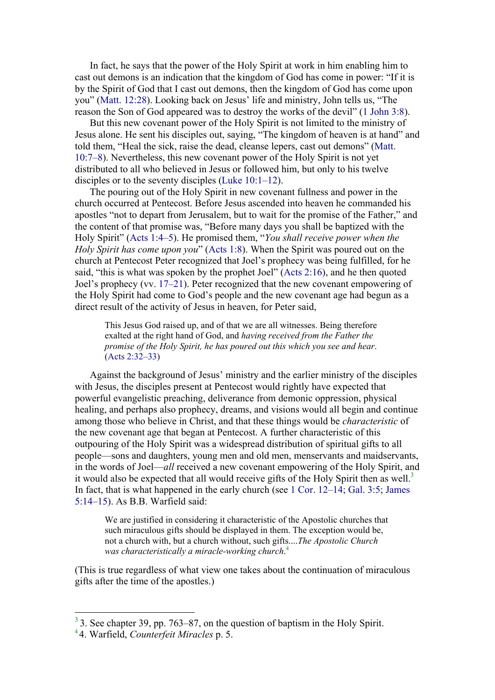In fact, he says that the power of the Holy Spirit at work in him enabling him to cast out demons is an indication that the kingdom of God has come in power: "If it is by the Spirit of God that I cast out demons, then the kingdom of God has come upon you" (Matt. 12:28). Looking back on Jesus' life and ministry, John tells us, "The reason the Son of God appeared was to destroy the works of the devil" (1 John 3:8).

But this new covenant power of the Holy Spirit is not limited to the ministry of Jesus alone. He sent his disciples out, saying, "The kingdom of heaven is at hand" and told them, "Heal the sick, raise the dead, cleanse lepers, cast out demons" (Matt. 10:7–8). Nevertheless, this new covenant power of the Holy Spirit is not yet distributed to all who believed in Jesus or followed him, but only to his twelve disciples or to the seventy disciples (Luke 10:1–12).

The pouring out of the Holy Spirit in new covenant fullness and power in the church occurred at Pentecost. Before Jesus ascended into heaven he commanded his apostles "not to depart from Jerusalem, but to wait for the promise of the Father," and the content of that promise was, "Before many days you shall be baptized with the Holy Spirit" (Acts 1:4–5). He promised them, "*You shall receive power when the Holy Spirit has come upon you*" (Acts 1:8). When the Spirit was poured out on the church at Pentecost Peter recognized that Joel's prophecy was being fulfilled, for he said, "this is what was spoken by the prophet Joel" (Acts 2:16), and he then quoted Joel's prophecy (vv. 17–21). Peter recognized that the new covenant empowering of the Holy Spirit had come to God's people and the new covenant age had begun as a direct result of the activity of Jesus in heaven, for Peter said,

This Jesus God raised up, and of that we are all witnesses. Being therefore exalted at the right hand of God, and *having received from the Father the promise of the Holy Spirit, he has poured out this which you see and hear*. (Acts 2:32–33)

Against the background of Jesus' ministry and the earlier ministry of the disciples with Jesus, the disciples present at Pentecost would rightly have expected that powerful evangelistic preaching, deliverance from demonic oppression, physical healing, and perhaps also prophecy, dreams, and visions would all begin and continue among those who believe in Christ, and that these things would be *characteristic* of the new covenant age that began at Pentecost. A further characteristic of this outpouring of the Holy Spirit was a widespread distribution of spiritual gifts to all people—sons and daughters, young men and old men, menservants and maidservants, in the words of Joel—*all* received a new covenant empowering of the Holy Spirit, and it would also be expected that all would receive gifts of the Holy Spirit then as well.<sup>3</sup> In fact, that is what happened in the early church (see 1 Cor. 12–14; Gal. 3:5; James 5:14–15). As B.B. Warfield said:

We are justified in considering it characteristic of the Apostolic churches that such miraculous gifts should be displayed in them. The exception would be, not a church with, but a church without, such gifts....*The Apostolic Church was characteristically a miracle-working church*. 4

(This is true regardless of what view one takes about the continuation of miraculous gifts after the time of the apostles.)

 $3$  3. See chapter 39, pp. 763–87, on the question of baptism in the Holy Spirit.

<sup>4 4.</sup> Warfield, *Counterfeit Miracles* p. 5.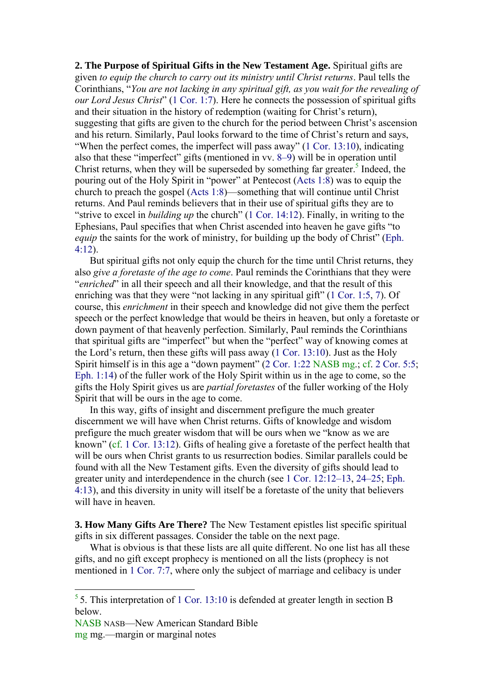**2. The Purpose of Spiritual Gifts in the New Testament Age.** Spiritual gifts are given *to equip the church to carry out its ministry until Christ returns*. Paul tells the Corinthians, "*You are not lacking in any spiritual gift, as you wait for the revealing of our Lord Jesus Christ*" (1 Cor. 1:7). Here he connects the possession of spiritual gifts and their situation in the history of redemption (waiting for Christ's return), suggesting that gifts are given to the church for the period between Christ's ascension and his return. Similarly, Paul looks forward to the time of Christ's return and says, "When the perfect comes, the imperfect will pass away" (1 Cor. 13:10), indicating also that these "imperfect" gifts (mentioned in vv. 8–9) will be in operation until Christ returns, when they will be superseded by something far greater.<sup>5</sup> Indeed, the pouring out of the Holy Spirit in "power" at Pentecost (Acts 1:8) was to equip the church to preach the gospel (Acts 1:8)—something that will continue until Christ returns. And Paul reminds believers that in their use of spiritual gifts they are to "strive to excel in *building up* the church" (1 Cor. 14:12). Finally, in writing to the Ephesians, Paul specifies that when Christ ascended into heaven he gave gifts "to *equip* the saints for the work of ministry, for building up the body of Christ" (Eph. 4:12).

But spiritual gifts not only equip the church for the time until Christ returns, they also *give a foretaste of the age to come*. Paul reminds the Corinthians that they were "*enriched*" in all their speech and all their knowledge, and that the result of this enriching was that they were "not lacking in any spiritual gift" (1 Cor. 1:5, 7). Of course, this *enrichment* in their speech and knowledge did not give them the perfect speech or the perfect knowledge that would be theirs in heaven, but only a foretaste or down payment of that heavenly perfection. Similarly, Paul reminds the Corinthians that spiritual gifts are "imperfect" but when the "perfect" way of knowing comes at the Lord's return, then these gifts will pass away (1 Cor. 13:10). Just as the Holy Spirit himself is in this age a "down payment" (2 Cor. 1:22 NASB mg.; cf. 2 Cor. 5:5; Eph. 1:14) of the fuller work of the Holy Spirit within us in the age to come, so the gifts the Holy Spirit gives us are *partial foretastes* of the fuller working of the Holy Spirit that will be ours in the age to come.

In this way, gifts of insight and discernment prefigure the much greater discernment we will have when Christ returns. Gifts of knowledge and wisdom prefigure the much greater wisdom that will be ours when we "know as we are known" (cf. 1 Cor. 13:12). Gifts of healing give a foretaste of the perfect health that will be ours when Christ grants to us resurrection bodies. Similar parallels could be found with all the New Testament gifts. Even the diversity of gifts should lead to greater unity and interdependence in the church (see 1 Cor. 12:12–13, 24–25; Eph. 4:13), and this diversity in unity will itself be a foretaste of the unity that believers will have in heaven.

**3. How Many Gifts Are There?** The New Testament epistles list specific spiritual gifts in six different passages. Consider the table on the next page.

What is obvious is that these lists are all quite different. No one list has all these gifts, and no gift except prophecy is mentioned on all the lists (prophecy is not mentioned in 1 Cor. 7:7, where only the subject of marriage and celibacy is under

 $5$  5. This interpretation of 1 Cor. 13:10 is defended at greater length in section B below.

NASB NASB—New American Standard Bible

mg mg.—margin or marginal notes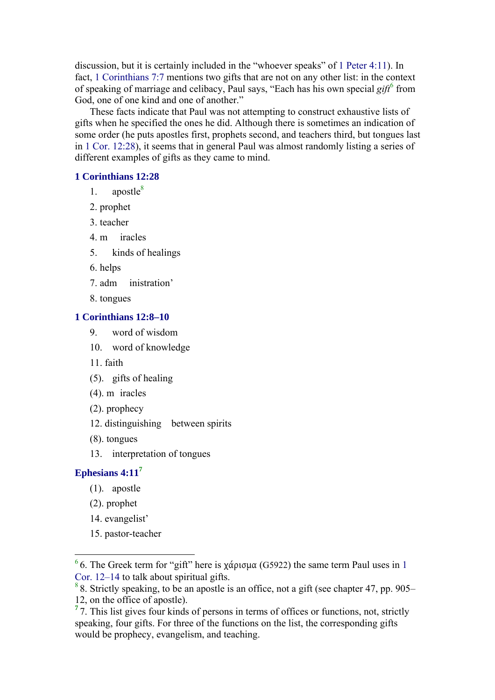discussion, but it is certainly included in the "whoever speaks" of 1 Peter 4:11). In fact, 1 Corinthians 7:7 mentions two gifts that are not on any other list: in the context of speaking of marriage and celibacy, Paul says, "Each has his own special  $giff^6$  from God, one of one kind and one of another."

These facts indicate that Paul was not attempting to construct exhaustive lists of gifts when he specified the ones he did. Although there is sometimes an indication of some order (he puts apostles first, prophets second, and teachers third, but tongues last in 1 Cor. 12:28), it seems that in general Paul was almost randomly listing a series of different examples of gifts as they came to mind.

## **1 Corinthians 12:28**

- 1. apostle $\frac{8}{3}$
- 2. prophet
- 3. teacher
- 4. m iracles
- 5. kinds of healings
- 6. helps
- 7. adm inistration'
- 8. tongues

## **1 Corinthians 12:8–10**

- 9. word of wisdom
- 10. word of knowledge
- 11. faith
- (5). gifts of healing
- (4). m iracles
- (2). prophecy
- 12. distinguishing between spirits
- (8). tongues
- 13. interpretation of tongues

# **Ephesians 4:117**

- (1). apostle
- (2). prophet

 $\overline{a}$ 

- 14. evangelist'
- 15. pastor-teacher

12, on the office of apostle).

<sup>&</sup>lt;sup>6</sup> 6. The Greek term for "gift" here is χάρισμα (G5922) the same term Paul uses in 1 Cor. 12–14 to talk about spiritual gifts.

 $8$  8. Strictly speaking, to be an apostle is an office, not a gift (see chapter 47, pp. 905–

<sup>&</sup>lt;sup>7</sup>7. This list gives four kinds of persons in terms of offices or functions, not, strictly speaking, four gifts. For three of the functions on the list, the corresponding gifts would be prophecy, evangelism, and teaching.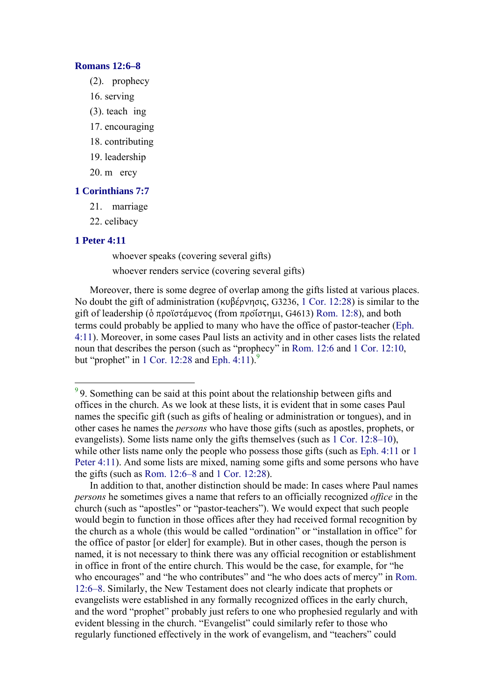#### **Romans 12:6–8**

- (2). prophecy
- 16. serving
- (3). teach ing
- 17. encouraging
- 18. contributing
- 19. leadership
- 20. m ercy

## **1 Corinthians 7:7**

- 21. marriage
- 22. celibacy

## **1 Peter 4:11**

 $\overline{a}$ 

whoever speaks (covering several gifts)

whoever renders service (covering several gifts)

Moreover, there is some degree of overlap among the gifts listed at various places. No doubt the gift of administration (κυβέρνησις, G3236, 1 Cor. 12:28) is similar to the gift of leadership (ὁ προϊστάμενος (from προί̈στημι, G4613) Rom. 12:8), and both terms could probably be applied to many who have the office of pastor-teacher (Eph. 4:11). Moreover, in some cases Paul lists an activity and in other cases lists the related noun that describes the person (such as "prophecy" in Rom. 12:6 and 1 Cor. 12:10, but "prophet" in 1 Cor. 12:28 and Eph.  $4:11$ .<sup>9</sup>

<sup>&</sup>lt;sup>9</sup> 9. Something can be said at this point about the relationship between gifts and offices in the church. As we look at these lists, it is evident that in some cases Paul names the specific gift (such as gifts of healing or administration or tongues), and in other cases he names the *persons* who have those gifts (such as apostles, prophets, or evangelists). Some lists name only the gifts themselves (such as 1 Cor. 12:8–10), while other lists name only the people who possess those gifts (such as Eph. 4:11 or 1) Peter 4:11). And some lists are mixed, naming some gifts and some persons who have the gifts (such as Rom. 12:6–8 and 1 Cor. 12:28).

In addition to that, another distinction should be made: In cases where Paul names *persons* he sometimes gives a name that refers to an officially recognized *office* in the church (such as "apostles" or "pastor-teachers"). We would expect that such people would begin to function in those offices after they had received formal recognition by the church as a whole (this would be called "ordination" or "installation in office" for the office of pastor [or elder] for example). But in other cases, though the person is named, it is not necessary to think there was any official recognition or establishment in office in front of the entire church. This would be the case, for example, for "he who encourages" and "he who contributes" and "he who does acts of mercy" in Rom. 12:6–8. Similarly, the New Testament does not clearly indicate that prophets or evangelists were established in any formally recognized offices in the early church, and the word "prophet" probably just refers to one who prophesied regularly and with evident blessing in the church. "Evangelist" could similarly refer to those who regularly functioned effectively in the work of evangelism, and "teachers" could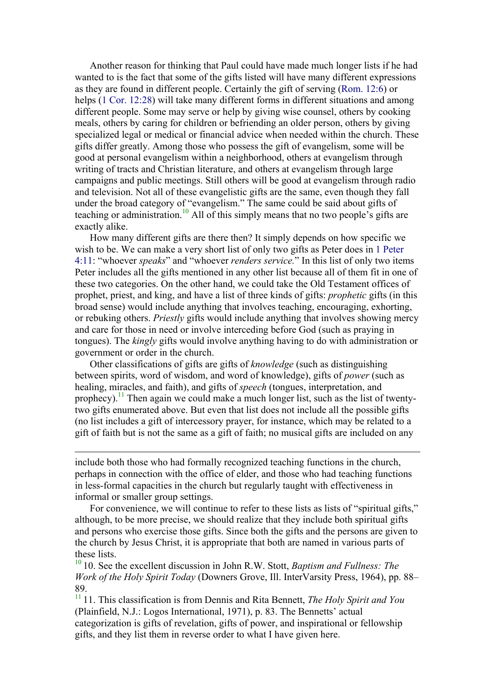Another reason for thinking that Paul could have made much longer lists if he had wanted to is the fact that some of the gifts listed will have many different expressions as they are found in different people. Certainly the gift of serving (Rom. 12:6) or helps (1 Cor. 12:28) will take many different forms in different situations and among different people. Some may serve or help by giving wise counsel, others by cooking meals, others by caring for children or befriending an older person, others by giving specialized legal or medical or financial advice when needed within the church. These gifts differ greatly. Among those who possess the gift of evangelism, some will be good at personal evangelism within a neighborhood, others at evangelism through writing of tracts and Christian literature, and others at evangelism through large campaigns and public meetings. Still others will be good at evangelism through radio and television. Not all of these evangelistic gifts are the same, even though they fall under the broad category of "evangelism." The same could be said about gifts of teaching or administration.<sup>10</sup> All of this simply means that no two people's gifts are exactly alike.

How many different gifts are there then? It simply depends on how specific we wish to be. We can make a very short list of only two gifts as Peter does in 1 Peter 4:11: "whoever *speaks*" and "whoever *renders service.*" In this list of only two items Peter includes all the gifts mentioned in any other list because all of them fit in one of these two categories. On the other hand, we could take the Old Testament offices of prophet, priest, and king, and have a list of three kinds of gifts: *prophetic* gifts (in this broad sense) would include anything that involves teaching, encouraging, exhorting, or rebuking others. *Priestly* gifts would include anything that involves showing mercy and care for those in need or involve interceding before God (such as praying in tongues). The *kingly* gifts would involve anything having to do with administration or government or order in the church.

Other classifications of gifts are gifts of *knowledge* (such as distinguishing between spirits, word of wisdom, and word of knowledge), gifts of *power* (such as healing, miracles, and faith), and gifts of *speech* (tongues, interpretation, and prophecy).<sup>11</sup> Then again we could make a much longer list, such as the list of twentytwo gifts enumerated above. But even that list does not include all the possible gifts (no list includes a gift of intercessory prayer, for instance, which may be related to a gift of faith but is not the same as a gift of faith; no musical gifts are included on any

include both those who had formally recognized teaching functions in the church, perhaps in connection with the office of elder, and those who had teaching functions in less-formal capacities in the church but regularly taught with effectiveness in informal or smaller group settings.

 $\overline{a}$ 

For convenience, we will continue to refer to these lists as lists of "spiritual gifts," although, to be more precise, we should realize that they include both spiritual gifts and persons who exercise those gifts. Since both the gifts and the persons are given to the church by Jesus Christ, it is appropriate that both are named in various parts of these lists.

10 10. See the excellent discussion in John R.W. Stott, *Baptism and Fullness: The Work of the Holy Spirit Today* (Downers Grove, Ill. InterVarsity Press, 1964), pp. 88– 89.

11 11. This classification is from Dennis and Rita Bennett, *The Holy Spirit and You* (Plainfield, N.J.: Logos International, 1971), p. 83. The Bennetts' actual categorization is gifts of revelation, gifts of power, and inspirational or fellowship gifts, and they list them in reverse order to what I have given here.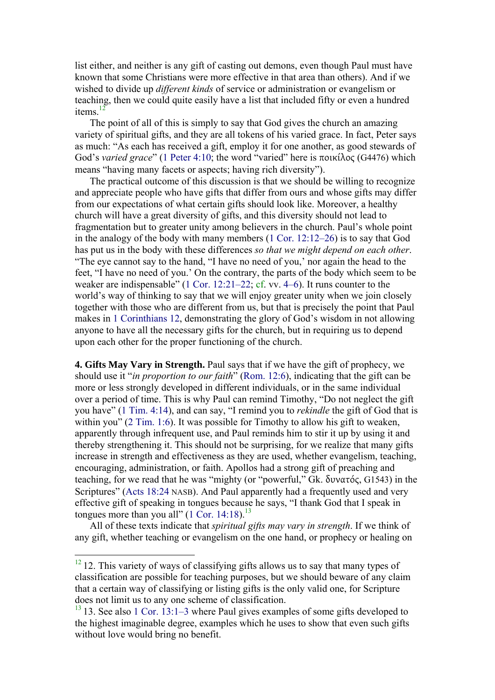list either, and neither is any gift of casting out demons, even though Paul must have known that some Christians were more effective in that area than others). And if we wished to divide up *different kinds* of service or administration or evangelism or teaching, then we could quite easily have a list that included fifty or even a hundred items $^{12}$ 

The point of all of this is simply to say that God gives the church an amazing variety of spiritual gifts, and they are all tokens of his varied grace. In fact, Peter says as much: "As each has received a gift, employ it for one another, as good stewards of God's *varied grace*" (1 Peter 4:10; the word "varied" here is ποικίλος (G4476) which means "having many facets or aspects; having rich diversity").

The practical outcome of this discussion is that we should be willing to recognize and appreciate people who have gifts that differ from ours and whose gifts may differ from our expectations of what certain gifts should look like. Moreover, a healthy church will have a great diversity of gifts, and this diversity should not lead to fragmentation but to greater unity among believers in the church. Paul's whole point in the analogy of the body with many members (1 Cor. 12:12–26) is to say that God has put us in the body with these differences *so that we might depend on each other*. "The eye cannot say to the hand, "I have no need of you,' nor again the head to the feet, "I have no need of you.' On the contrary, the parts of the body which seem to be weaker are indispensable" (1 Cor. 12:21–22; cf. vv. 4–6). It runs counter to the world's way of thinking to say that we will enjoy greater unity when we join closely together with those who are different from us, but that is precisely the point that Paul makes in 1 Corinthians 12, demonstrating the glory of God's wisdom in not allowing anyone to have all the necessary gifts for the church, but in requiring us to depend upon each other for the proper functioning of the church.

**4. Gifts May Vary in Strength.** Paul says that if we have the gift of prophecy, we should use it "*in proportion to our faith*" (Rom. 12:6), indicating that the gift can be more or less strongly developed in different individuals, or in the same individual over a period of time. This is why Paul can remind Timothy, "Do not neglect the gift you have" (1 Tim. 4:14), and can say, "I remind you to *rekindle* the gift of God that is within you" (2 Tim. 1:6). It was possible for Timothy to allow his gift to weaken, apparently through infrequent use, and Paul reminds him to stir it up by using it and thereby strengthening it. This should not be surprising, for we realize that many gifts increase in strength and effectiveness as they are used, whether evangelism, teaching, encouraging, administration, or faith. Apollos had a strong gift of preaching and teaching, for we read that he was "mighty (or "powerful," Gk. δυνατός, G1543) in the Scriptures" (Acts 18:24 NASB). And Paul apparently had a frequently used and very effective gift of speaking in tongues because he says, "I thank God that I speak in tongues more than you all"  $(1 \text{ Cor. } 14:18).$ <sup>13</sup>

All of these texts indicate that *spiritual gifts may vary in strength*. If we think of any gift, whether teaching or evangelism on the one hand, or prophecy or healing on

 $12$  12. This variety of ways of classifying gifts allows us to say that many types of classification are possible for teaching purposes, but we should beware of any claim that a certain way of classifying or listing gifts is the only valid one, for Scripture does not limit us to any one scheme of classification.

 $13$  13. See also 1 Cor. 13:1–3 where Paul gives examples of some gifts developed to the highest imaginable degree, examples which he uses to show that even such gifts without love would bring no benefit.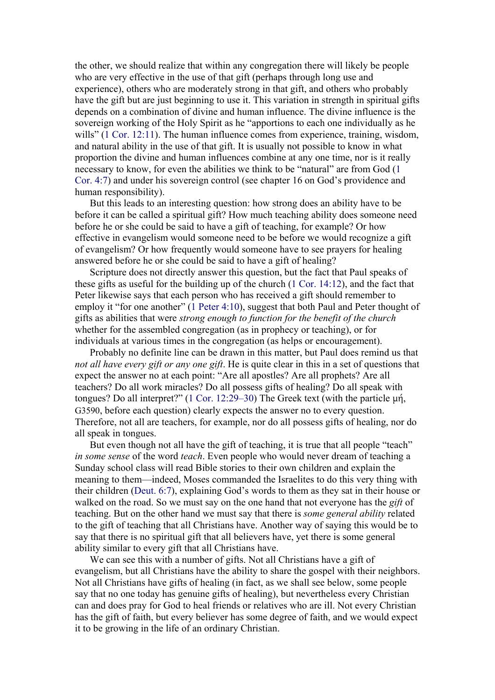the other, we should realize that within any congregation there will likely be people who are very effective in the use of that gift (perhaps through long use and experience), others who are moderately strong in that gift, and others who probably have the gift but are just beginning to use it. This variation in strength in spiritual gifts depends on a combination of divine and human influence. The divine influence is the sovereign working of the Holy Spirit as he "apportions to each one individually as he wills" (1 Cor. 12:11). The human influence comes from experience, training, wisdom, and natural ability in the use of that gift. It is usually not possible to know in what proportion the divine and human influences combine at any one time, nor is it really necessary to know, for even the abilities we think to be "natural" are from God (1 Cor. 4:7) and under his sovereign control (see chapter 16 on God's providence and human responsibility).

But this leads to an interesting question: how strong does an ability have to be before it can be called a spiritual gift? How much teaching ability does someone need before he or she could be said to have a gift of teaching, for example? Or how effective in evangelism would someone need to be before we would recognize a gift of evangelism? Or how frequently would someone have to see prayers for healing answered before he or she could be said to have a gift of healing?

Scripture does not directly answer this question, but the fact that Paul speaks of these gifts as useful for the building up of the church (1 Cor. 14:12), and the fact that Peter likewise says that each person who has received a gift should remember to employ it "for one another" (1 Peter 4:10), suggest that both Paul and Peter thought of gifts as abilities that were *strong enough to function for the benefit of the church* whether for the assembled congregation (as in prophecy or teaching), or for individuals at various times in the congregation (as helps or encouragement).

Probably no definite line can be drawn in this matter, but Paul does remind us that *not all have every gift or any one gift*. He is quite clear in this in a set of questions that expect the answer no at each point: "Are all apostles? Are all prophets? Are all teachers? Do all work miracles? Do all possess gifts of healing? Do all speak with tongues? Do all interpret?" (1 Cor. 12:29–30) The Greek text (with the particle μή, G3590, before each question) clearly expects the answer no to every question. Therefore, not all are teachers, for example, nor do all possess gifts of healing, nor do all speak in tongues.

But even though not all have the gift of teaching, it is true that all people "teach" *in some sense* of the word *teach*. Even people who would never dream of teaching a Sunday school class will read Bible stories to their own children and explain the meaning to them—indeed, Moses commanded the Israelites to do this very thing with their children (Deut. 6:7), explaining God's words to them as they sat in their house or walked on the road. So we must say on the one hand that not everyone has the *gift* of teaching. But on the other hand we must say that there is *some general ability* related to the gift of teaching that all Christians have. Another way of saying this would be to say that there is no spiritual gift that all believers have, yet there is some general ability similar to every gift that all Christians have.

We can see this with a number of gifts. Not all Christians have a gift of evangelism, but all Christians have the ability to share the gospel with their neighbors. Not all Christians have gifts of healing (in fact, as we shall see below, some people say that no one today has genuine gifts of healing), but nevertheless every Christian can and does pray for God to heal friends or relatives who are ill. Not every Christian has the gift of faith, but every believer has some degree of faith, and we would expect it to be growing in the life of an ordinary Christian.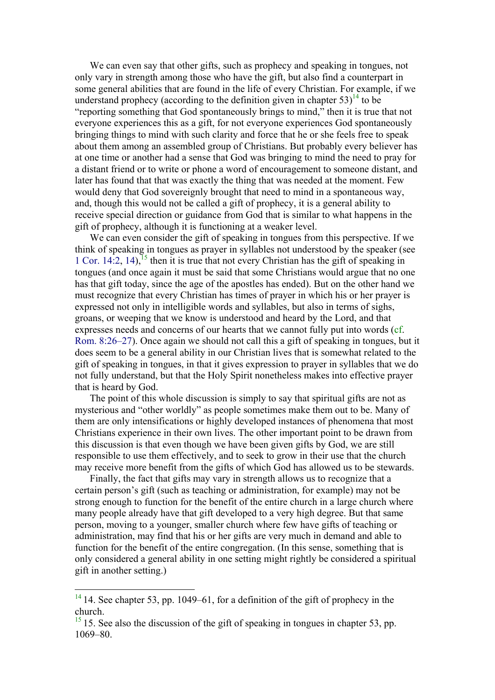We can even say that other gifts, such as prophecy and speaking in tongues, not only vary in strength among those who have the gift, but also find a counterpart in some general abilities that are found in the life of every Christian. For example, if we understand prophecy (according to the definition given in chapter  $53$ )<sup>14</sup> to be "reporting something that God spontaneously brings to mind," then it is true that not everyone experiences this as a gift, for not everyone experiences God spontaneously bringing things to mind with such clarity and force that he or she feels free to speak about them among an assembled group of Christians. But probably every believer has at one time or another had a sense that God was bringing to mind the need to pray for a distant friend or to write or phone a word of encouragement to someone distant, and later has found that that was exactly the thing that was needed at the moment. Few would deny that God sovereignly brought that need to mind in a spontaneous way, and, though this would not be called a gift of prophecy, it is a general ability to receive special direction or guidance from God that is similar to what happens in the gift of prophecy, although it is functioning at a weaker level.

We can even consider the gift of speaking in tongues from this perspective. If we think of speaking in tongues as prayer in syllables not understood by the speaker (see 1 Cor. 14:2, 14), <sup>15</sup> then it is true that not every Christian has the gift of speaking in tongues (and once again it must be said that some Christians would argue that no one has that gift today, since the age of the apostles has ended). But on the other hand we must recognize that every Christian has times of prayer in which his or her prayer is expressed not only in intelligible words and syllables, but also in terms of sighs, groans, or weeping that we know is understood and heard by the Lord, and that expresses needs and concerns of our hearts that we cannot fully put into words (cf. Rom. 8:26–27). Once again we should not call this a gift of speaking in tongues, but it does seem to be a general ability in our Christian lives that is somewhat related to the gift of speaking in tongues, in that it gives expression to prayer in syllables that we do not fully understand, but that the Holy Spirit nonetheless makes into effective prayer that is heard by God.

The point of this whole discussion is simply to say that spiritual gifts are not as mysterious and "other worldly" as people sometimes make them out to be. Many of them are only intensifications or highly developed instances of phenomena that most Christians experience in their own lives. The other important point to be drawn from this discussion is that even though we have been given gifts by God, we are still responsible to use them effectively, and to seek to grow in their use that the church may receive more benefit from the gifts of which God has allowed us to be stewards.

Finally, the fact that gifts may vary in strength allows us to recognize that a certain person's gift (such as teaching or administration, for example) may not be strong enough to function for the benefit of the entire church in a large church where many people already have that gift developed to a very high degree. But that same person, moving to a younger, smaller church where few have gifts of teaching or administration, may find that his or her gifts are very much in demand and able to function for the benefit of the entire congregation. (In this sense, something that is only considered a general ability in one setting might rightly be considered a spiritual gift in another setting.)

 $14$  14. See chapter 53, pp. 1049–61, for a definition of the gift of prophecy in the church.

 $15$  15. See also the discussion of the gift of speaking in tongues in chapter 53, pp. 1069–80.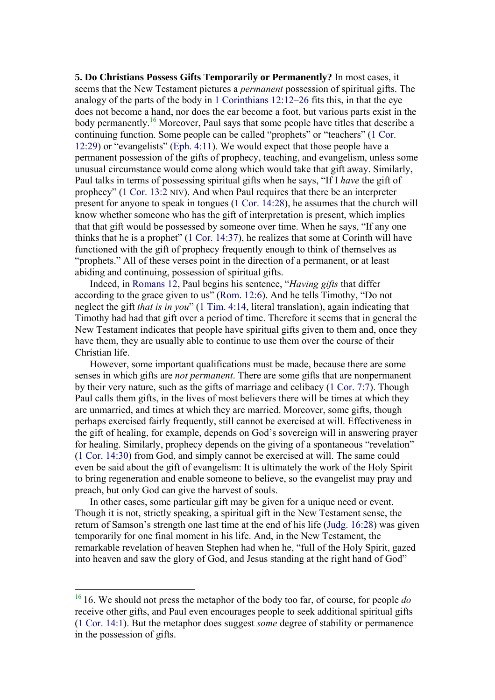**5. Do Christians Possess Gifts Temporarily or Permanently?** In most cases, it seems that the New Testament pictures a *permanent* possession of spiritual gifts. The analogy of the parts of the body in 1 Corinthians 12:12–26 fits this, in that the eye does not become a hand, nor does the ear become a foot, but various parts exist in the body permanently.<sup>16</sup> Moreover, Paul says that some people have titles that describe a continuing function. Some people can be called "prophets" or "teachers" (1 Cor. 12:29) or "evangelists" (Eph. 4:11). We would expect that those people have a permanent possession of the gifts of prophecy, teaching, and evangelism, unless some unusual circumstance would come along which would take that gift away. Similarly, Paul talks in terms of possessing spiritual gifts when he says, "If I *have* the gift of prophecy" (1 Cor. 13:2 NIV). And when Paul requires that there be an interpreter present for anyone to speak in tongues (1 Cor. 14:28), he assumes that the church will know whether someone who has the gift of interpretation is present, which implies that that gift would be possessed by someone over time. When he says, "If any one thinks that he is a prophet" (1 Cor. 14:37), he realizes that some at Corinth will have functioned with the gift of prophecy frequently enough to think of themselves as "prophets." All of these verses point in the direction of a permanent, or at least abiding and continuing, possession of spiritual gifts.

Indeed, in Romans 12, Paul begins his sentence, "*Having gifts* that differ according to the grace given to us" (Rom. 12:6). And he tells Timothy, "Do not neglect the gift *that is in you*" (1 Tim. 4:14, literal translation), again indicating that Timothy had had that gift over a period of time. Therefore it seems that in general the New Testament indicates that people have spiritual gifts given to them and, once they have them, they are usually able to continue to use them over the course of their Christian life.

However, some important qualifications must be made, because there are some senses in which gifts are *not permanent*. There are some gifts that are nonpermanent by their very nature, such as the gifts of marriage and celibacy (1 Cor. 7:7). Though Paul calls them gifts, in the lives of most believers there will be times at which they are unmarried, and times at which they are married. Moreover, some gifts, though perhaps exercised fairly frequently, still cannot be exercised at will. Effectiveness in the gift of healing, for example, depends on God's sovereign will in answering prayer for healing. Similarly, prophecy depends on the giving of a spontaneous "revelation" (1 Cor. 14:30) from God, and simply cannot be exercised at will. The same could even be said about the gift of evangelism: It is ultimately the work of the Holy Spirit to bring regeneration and enable someone to believe, so the evangelist may pray and preach, but only God can give the harvest of souls.

In other cases, some particular gift may be given for a unique need or event. Though it is not, strictly speaking, a spiritual gift in the New Testament sense, the return of Samson's strength one last time at the end of his life (Judg. 16:28) was given temporarily for one final moment in his life. And, in the New Testament, the remarkable revelation of heaven Stephen had when he, "full of the Holy Spirit, gazed into heaven and saw the glory of God, and Jesus standing at the right hand of God"

<sup>16 16.</sup> We should not press the metaphor of the body too far, of course, for people *do* receive other gifts, and Paul even encourages people to seek additional spiritual gifts (1 Cor. 14:1). But the metaphor does suggest *some* degree of stability or permanence in the possession of gifts.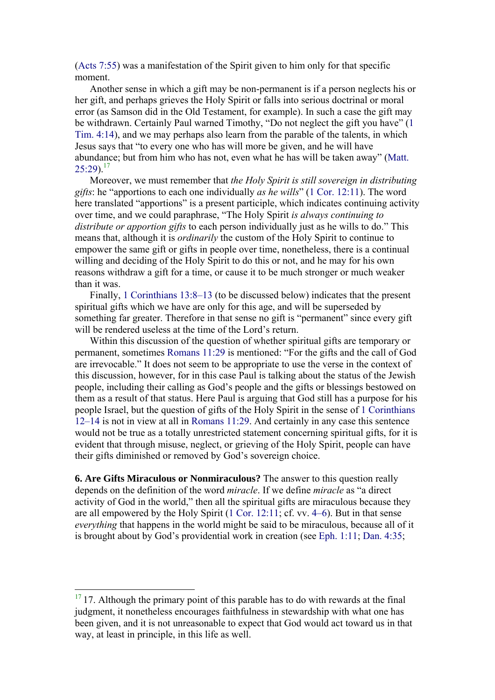(Acts 7:55) was a manifestation of the Spirit given to him only for that specific moment.

Another sense in which a gift may be non-permanent is if a person neglects his or her gift, and perhaps grieves the Holy Spirit or falls into serious doctrinal or moral error (as Samson did in the Old Testament, for example). In such a case the gift may be withdrawn. Certainly Paul warned Timothy, "Do not neglect the gift you have" (1 Tim. 4:14), and we may perhaps also learn from the parable of the talents, in which Jesus says that "to every one who has will more be given, and he will have abundance; but from him who has not, even what he has will be taken away" (Matt.  $25:29$ <sup>17</sup>

Moreover, we must remember that *the Holy Spirit is still sovereign in distributing gifts*: he "apportions to each one individually *as he wills*" (1 Cor. 12:11). The word here translated "apportions" is a present participle, which indicates continuing activity over time, and we could paraphrase, "The Holy Spirit *is always continuing to distribute or apportion gifts* to each person individually just as he wills to do." This means that, although it is *ordinarily* the custom of the Holy Spirit to continue to empower the same gift or gifts in people over time, nonetheless, there is a continual willing and deciding of the Holy Spirit to do this or not, and he may for his own reasons withdraw a gift for a time, or cause it to be much stronger or much weaker than it was.

Finally, 1 Corinthians 13:8–13 (to be discussed below) indicates that the present spiritual gifts which we have are only for this age, and will be superseded by something far greater. Therefore in that sense no gift is "permanent" since every gift will be rendered useless at the time of the Lord's return.

Within this discussion of the question of whether spiritual gifts are temporary or permanent, sometimes Romans 11:29 is mentioned: "For the gifts and the call of God are irrevocable." It does not seem to be appropriate to use the verse in the context of this discussion, however, for in this case Paul is talking about the status of the Jewish people, including their calling as God's people and the gifts or blessings bestowed on them as a result of that status. Here Paul is arguing that God still has a purpose for his people Israel, but the question of gifts of the Holy Spirit in the sense of 1 Corinthians 12–14 is not in view at all in Romans 11:29. And certainly in any case this sentence would not be true as a totally unrestricted statement concerning spiritual gifts, for it is evident that through misuse, neglect, or grieving of the Holy Spirit, people can have their gifts diminished or removed by God's sovereign choice.

**6. Are Gifts Miraculous or Nonmiraculous?** The answer to this question really depends on the definition of the word *miracle*. If we define *miracle* as "a direct activity of God in the world," then all the spiritual gifts are miraculous because they are all empowered by the Holy Spirit (1 Cor. 12:11; cf. vv. 4–6). But in that sense *everything* that happens in the world might be said to be miraculous, because all of it is brought about by God's providential work in creation (see Eph. 1:11; Dan. 4:35;

 $17$  17. Although the primary point of this parable has to do with rewards at the final judgment, it nonetheless encourages faithfulness in stewardship with what one has been given, and it is not unreasonable to expect that God would act toward us in that way, at least in principle, in this life as well.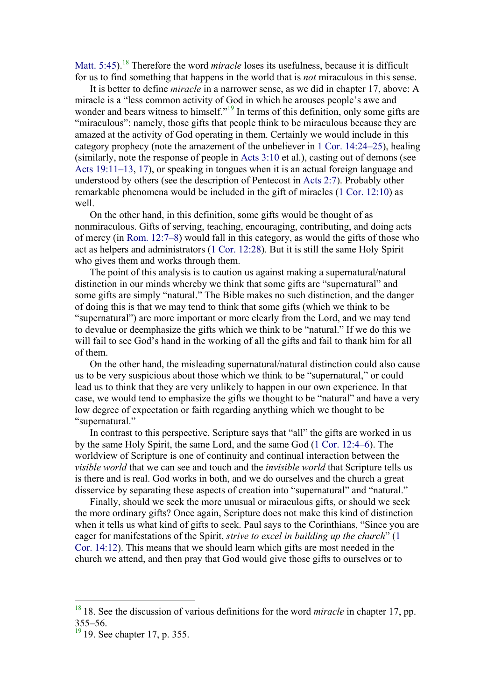Matt. 5:45).<sup>18</sup> Therefore the word *miracle* loses its usefulness, because it is difficult for us to find something that happens in the world that is *not* miraculous in this sense.

It is better to define *miracle* in a narrower sense, as we did in chapter 17, above: A miracle is a "less common activity of God in which he arouses people's awe and wonder and bears witness to himself."<sup>19</sup> In terms of this definition, only some gifts are "miraculous": namely, those gifts that people think to be miraculous because they are amazed at the activity of God operating in them. Certainly we would include in this category prophecy (note the amazement of the unbeliever in 1 Cor. 14:24–25), healing (similarly, note the response of people in Acts 3:10 et al.), casting out of demons (see Acts 19:11–13, 17), or speaking in tongues when it is an actual foreign language and understood by others (see the description of Pentecost in Acts 2:7). Probably other remarkable phenomena would be included in the gift of miracles (1 Cor. 12:10) as well.

On the other hand, in this definition, some gifts would be thought of as nonmiraculous. Gifts of serving, teaching, encouraging, contributing, and doing acts of mercy (in Rom. 12:7–8) would fall in this category, as would the gifts of those who act as helpers and administrators (1 Cor. 12:28). But it is still the same Holy Spirit who gives them and works through them.

The point of this analysis is to caution us against making a supernatural/natural distinction in our minds whereby we think that some gifts are "supernatural" and some gifts are simply "natural." The Bible makes no such distinction, and the danger of doing this is that we may tend to think that some gifts (which we think to be "supernatural") are more important or more clearly from the Lord, and we may tend to devalue or deemphasize the gifts which we think to be "natural." If we do this we will fail to see God's hand in the working of all the gifts and fail to thank him for all of them.

On the other hand, the misleading supernatural/natural distinction could also cause us to be very suspicious about those which we think to be "supernatural," or could lead us to think that they are very unlikely to happen in our own experience. In that case, we would tend to emphasize the gifts we thought to be "natural" and have a very low degree of expectation or faith regarding anything which we thought to be "supernatural."

In contrast to this perspective, Scripture says that "all" the gifts are worked in us by the same Holy Spirit, the same Lord, and the same God (1 Cor. 12:4–6). The worldview of Scripture is one of continuity and continual interaction between the *visible world* that we can see and touch and the *invisible world* that Scripture tells us is there and is real. God works in both, and we do ourselves and the church a great disservice by separating these aspects of creation into "supernatural" and "natural."

Finally, should we seek the more unusual or miraculous gifts, or should we seek the more ordinary gifts? Once again, Scripture does not make this kind of distinction when it tells us what kind of gifts to seek. Paul says to the Corinthians, "Since you are eager for manifestations of the Spirit, *strive to excel in building up the church*" (1 Cor. 14:12). This means that we should learn which gifts are most needed in the church we attend, and then pray that God would give those gifts to ourselves or to

<sup>18 18.</sup> See the discussion of various definitions for the word *miracle* in chapter 17, pp. 355–56.

 $19$  19. See chapter 17, p. 355.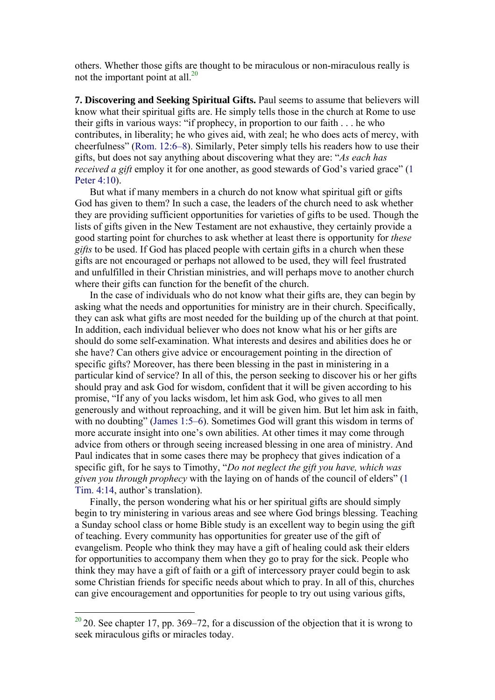others. Whether those gifts are thought to be miraculous or non-miraculous really is not the important point at all. $^{20}$ 

**7. Discovering and Seeking Spiritual Gifts.** Paul seems to assume that believers will know what their spiritual gifts are. He simply tells those in the church at Rome to use their gifts in various ways: "if prophecy, in proportion to our faith . . . he who contributes, in liberality; he who gives aid, with zeal; he who does acts of mercy, with cheerfulness" (Rom. 12:6–8). Similarly, Peter simply tells his readers how to use their gifts, but does not say anything about discovering what they are: "*As each has received a gift* employ it for one another, as good stewards of God's varied grace" (1) Peter 4:10).

But what if many members in a church do not know what spiritual gift or gifts God has given to them? In such a case, the leaders of the church need to ask whether they are providing sufficient opportunities for varieties of gifts to be used. Though the lists of gifts given in the New Testament are not exhaustive, they certainly provide a good starting point for churches to ask whether at least there is opportunity for *these gifts* to be used. If God has placed people with certain gifts in a church when these gifts are not encouraged or perhaps not allowed to be used, they will feel frustrated and unfulfilled in their Christian ministries, and will perhaps move to another church where their gifts can function for the benefit of the church.

In the case of individuals who do not know what their gifts are, they can begin by asking what the needs and opportunities for ministry are in their church. Specifically, they can ask what gifts are most needed for the building up of the church at that point. In addition, each individual believer who does not know what his or her gifts are should do some self-examination. What interests and desires and abilities does he or she have? Can others give advice or encouragement pointing in the direction of specific gifts? Moreover, has there been blessing in the past in ministering in a particular kind of service? In all of this, the person seeking to discover his or her gifts should pray and ask God for wisdom, confident that it will be given according to his promise, "If any of you lacks wisdom, let him ask God, who gives to all men generously and without reproaching, and it will be given him. But let him ask in faith, with no doubting" (James 1:5–6). Sometimes God will grant this wisdom in terms of more accurate insight into one's own abilities. At other times it may come through advice from others or through seeing increased blessing in one area of ministry. And Paul indicates that in some cases there may be prophecy that gives indication of a specific gift, for he says to Timothy, "*Do not neglect the gift you have, which was given you through prophecy* with the laying on of hands of the council of elders" (1 Tim. 4:14, author's translation).

Finally, the person wondering what his or her spiritual gifts are should simply begin to try ministering in various areas and see where God brings blessing. Teaching a Sunday school class or home Bible study is an excellent way to begin using the gift of teaching. Every community has opportunities for greater use of the gift of evangelism. People who think they may have a gift of healing could ask their elders for opportunities to accompany them when they go to pray for the sick. People who think they may have a gift of faith or a gift of intercessory prayer could begin to ask some Christian friends for specific needs about which to pray. In all of this, churches can give encouragement and opportunities for people to try out using various gifts,

 $20$  20. See chapter 17, pp. 369–72, for a discussion of the objection that it is wrong to seek miraculous gifts or miracles today.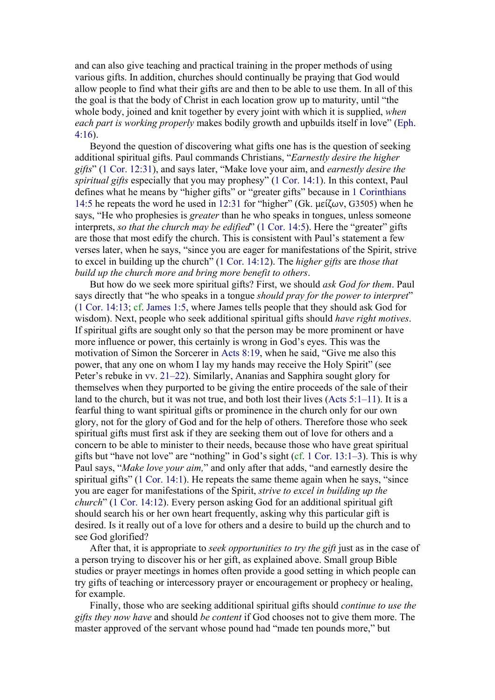and can also give teaching and practical training in the proper methods of using various gifts. In addition, churches should continually be praying that God would allow people to find what their gifts are and then to be able to use them. In all of this the goal is that the body of Christ in each location grow up to maturity, until "the whole body, joined and knit together by every joint with which it is supplied, *when each part is working properly* makes bodily growth and upbuilds itself in love" (Eph. 4:16).

Beyond the question of discovering what gifts one has is the question of seeking additional spiritual gifts. Paul commands Christians, "*Earnestly desire the higher gifts*" (1 Cor. 12:31), and says later, "Make love your aim, and *earnestly desire the spiritual gifts* especially that you may prophesy" (1 Cor. 14:1). In this context, Paul defines what he means by "higher gifts" or "greater gifts" because in 1 Corinthians 14:5 he repeats the word he used in 12:31 for "higher" (Gk. μείζων, G3505) when he says, "He who prophesies is *greater* than he who speaks in tongues, unless someone interprets, *so that the church may be edified*" (1 Cor. 14:5). Here the "greater" gifts are those that most edify the church. This is consistent with Paul's statement a few verses later, when he says, "since you are eager for manifestations of the Spirit, strive to excel in building up the church" (1 Cor. 14:12). The *higher gifts* are *those that build up the church more and bring more benefit to others*.

But how do we seek more spiritual gifts? First, we should *ask God for them*. Paul says directly that "he who speaks in a tongue *should pray for the power to interpret*" (1 Cor. 14:13; cf. James 1:5, where James tells people that they should ask God for wisdom). Next, people who seek additional spiritual gifts should *have right motives*. If spiritual gifts are sought only so that the person may be more prominent or have more influence or power, this certainly is wrong in God's eyes. This was the motivation of Simon the Sorcerer in Acts 8:19, when he said, "Give me also this power, that any one on whom I lay my hands may receive the Holy Spirit" (see Peter's rebuke in vv. 21–22). Similarly, Ananias and Sapphira sought glory for themselves when they purported to be giving the entire proceeds of the sale of their land to the church, but it was not true, and both lost their lives (Acts 5:1–11). It is a fearful thing to want spiritual gifts or prominence in the church only for our own glory, not for the glory of God and for the help of others. Therefore those who seek spiritual gifts must first ask if they are seeking them out of love for others and a concern to be able to minister to their needs, because those who have great spiritual gifts but "have not love" are "nothing" in God's sight (cf. 1 Cor. 13:1–3). This is why Paul says, "*Make love your aim,*" and only after that adds, "and earnestly desire the spiritual gifts" (1 Cor. 14:1). He repeats the same theme again when he says, "since you are eager for manifestations of the Spirit, *strive to excel in building up the church*" (1 Cor. 14:12). Every person asking God for an additional spiritual gift should search his or her own heart frequently, asking why this particular gift is desired. Is it really out of a love for others and a desire to build up the church and to see God glorified?

After that, it is appropriate to *seek opportunities to try the gift* just as in the case of a person trying to discover his or her gift, as explained above. Small group Bible studies or prayer meetings in homes often provide a good setting in which people can try gifts of teaching or intercessory prayer or encouragement or prophecy or healing, for example.

Finally, those who are seeking additional spiritual gifts should *continue to use the gifts they now have* and should *be content* if God chooses not to give them more. The master approved of the servant whose pound had "made ten pounds more," but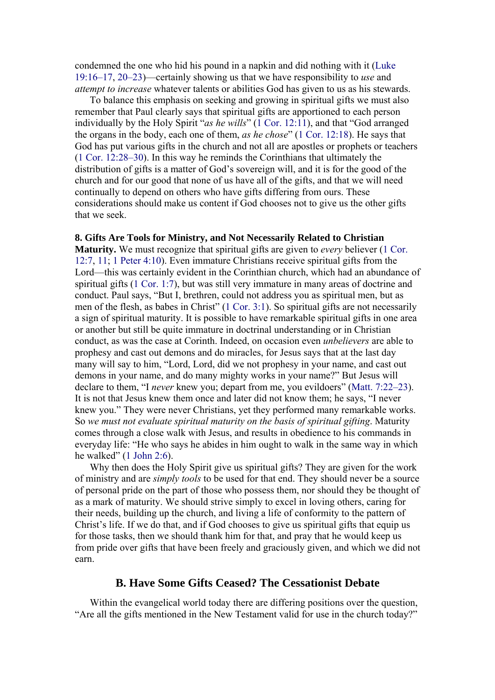condemned the one who hid his pound in a napkin and did nothing with it (Luke 19:16–17, 20–23)—certainly showing us that we have responsibility to *use* and *attempt to increase* whatever talents or abilities God has given to us as his stewards.

To balance this emphasis on seeking and growing in spiritual gifts we must also remember that Paul clearly says that spiritual gifts are apportioned to each person individually by the Holy Spirit "*as he wills*" (1 Cor. 12:11), and that "God arranged the organs in the body, each one of them, *as he chose*" (1 Cor. 12:18). He says that God has put various gifts in the church and not all are apostles or prophets or teachers (1 Cor. 12:28–30). In this way he reminds the Corinthians that ultimately the distribution of gifts is a matter of God's sovereign will, and it is for the good of the church and for our good that none of us have all of the gifts, and that we will need continually to depend on others who have gifts differing from ours. These considerations should make us content if God chooses not to give us the other gifts that we seek.

# **8. Gifts Are Tools for Ministry, and Not Necessarily Related to Christian**

**Maturity.** We must recognize that spiritual gifts are given to *every* believer (1 Cor. 12:7, 11; 1 Peter 4:10). Even immature Christians receive spiritual gifts from the Lord—this was certainly evident in the Corinthian church, which had an abundance of spiritual gifts (1 Cor. 1:7), but was still very immature in many areas of doctrine and conduct. Paul says, "But I, brethren, could not address you as spiritual men, but as men of the flesh, as babes in Christ" (1 Cor. 3:1). So spiritual gifts are not necessarily a sign of spiritual maturity. It is possible to have remarkable spiritual gifts in one area or another but still be quite immature in doctrinal understanding or in Christian conduct, as was the case at Corinth. Indeed, on occasion even *unbelievers* are able to prophesy and cast out demons and do miracles, for Jesus says that at the last day many will say to him, "Lord, Lord, did we not prophesy in your name, and cast out demons in your name, and do many mighty works in your name?" But Jesus will declare to them, "I *never* knew you; depart from me, you evildoers" (Matt. 7:22–23). It is not that Jesus knew them once and later did not know them; he says, "I never knew you." They were never Christians, yet they performed many remarkable works. So *we must not evaluate spiritual maturity on the basis of spiritual gifting*. Maturity comes through a close walk with Jesus, and results in obedience to his commands in everyday life: "He who says he abides in him ought to walk in the same way in which he walked" (1 John 2:6).

Why then does the Holy Spirit give us spiritual gifts? They are given for the work of ministry and are *simply tools* to be used for that end. They should never be a source of personal pride on the part of those who possess them, nor should they be thought of as a mark of maturity. We should strive simply to excel in loving others, caring for their needs, building up the church, and living a life of conformity to the pattern of Christ's life. If we do that, and if God chooses to give us spiritual gifts that equip us for those tasks, then we should thank him for that, and pray that he would keep us from pride over gifts that have been freely and graciously given, and which we did not earn.

# **B. Have Some Gifts Ceased? The Cessationist Debate**

Within the evangelical world today there are differing positions over the question, "Are all the gifts mentioned in the New Testament valid for use in the church today?"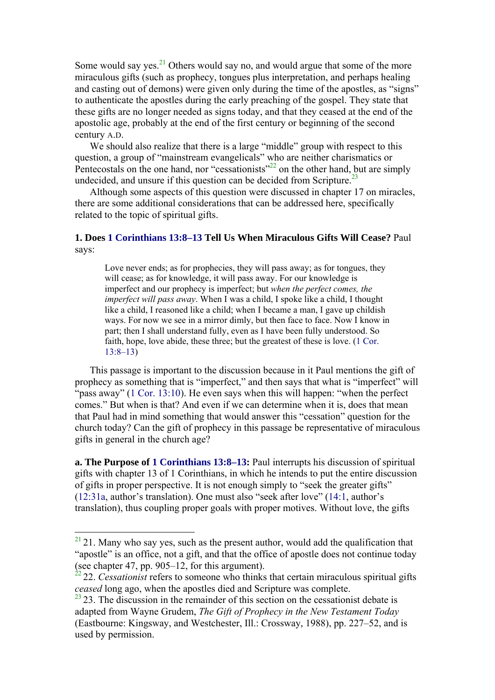Some would say yes. $^{21}$  Others would say no, and would argue that some of the more miraculous gifts (such as prophecy, tongues plus interpretation, and perhaps healing and casting out of demons) were given only during the time of the apostles, as "signs" to authenticate the apostles during the early preaching of the gospel. They state that these gifts are no longer needed as signs today, and that they ceased at the end of the apostolic age, probably at the end of the first century or beginning of the second century A.D.

We should also realize that there is a large "middle" group with respect to this question, a group of "mainstream evangelicals" who are neither charismatics or Pentecostals on the one hand, nor "cessationists"<sup>22</sup> on the other hand, but are simply undecided, and unsure if this question can be decided from Scripture.<sup>23</sup>

Although some aspects of this question were discussed in chapter 17 on miracles, there are some additional considerations that can be addressed here, specifically related to the topic of spiritual gifts.

## **1. Does 1 Corinthians 13:8–13 Tell Us When Miraculous Gifts Will Cease?** Paul says:

Love never ends; as for prophecies, they will pass away; as for tongues, they will cease; as for knowledge, it will pass away. For our knowledge is imperfect and our prophecy is imperfect; but *when the perfect comes, the imperfect will pass away*. When I was a child, I spoke like a child, I thought like a child, I reasoned like a child; when I became a man, I gave up childish ways. For now we see in a mirror dimly, but then face to face. Now I know in part; then I shall understand fully, even as I have been fully understood. So faith, hope, love abide, these three; but the greatest of these is love. (1 Cor. 13:8–13)

This passage is important to the discussion because in it Paul mentions the gift of prophecy as something that is "imperfect," and then says that what is "imperfect" will "pass away" (1 Cor. 13:10). He even says when this will happen: "when the perfect comes." But when is that? And even if we can determine when it is, does that mean that Paul had in mind something that would answer this "cessation" question for the church today? Can the gift of prophecy in this passage be representative of miraculous gifts in general in the church age?

**a. The Purpose of 1 Corinthians 13:8–13:** Paul interrupts his discussion of spiritual gifts with chapter 13 of 1 Corinthians, in which he intends to put the entire discussion of gifts in proper perspective. It is not enough simply to "seek the greater gifts" (12:31a, author's translation). One must also "seek after love" (14:1, author's translation), thus coupling proper goals with proper motives. Without love, the gifts

 $21$  21. Many who say yes, such as the present author, would add the qualification that "apostle" is an office, not a gift, and that the office of apostle does not continue today (see chapter 47, pp. 905–12, for this argument).

 $\frac{22}{22}$  22. *Cessationist* refers to someone who thinks that certain miraculous spiritual gifts *ceased* long ago, when the apostles died and Scripture was complete.

 $23$  23. The discussion in the remainder of this section on the cessationist debate is adapted from Wayne Grudem, *The Gift of Prophecy in the New Testament Today* (Eastbourne: Kingsway, and Westchester, Ill.: Crossway, 1988), pp. 227–52, and is used by permission.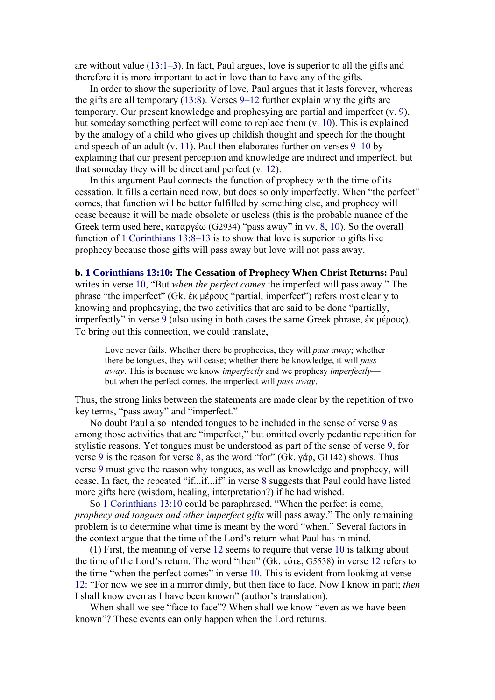are without value  $(13:1-3)$ . In fact, Paul argues, love is superior to all the gifts and therefore it is more important to act in love than to have any of the gifts.

In order to show the superiority of love, Paul argues that it lasts forever, whereas the gifts are all temporary (13:8). Verses 9–12 further explain why the gifts are temporary. Our present knowledge and prophesying are partial and imperfect (v. 9), but someday something perfect will come to replace them (v. 10). This is explained by the analogy of a child who gives up childish thought and speech for the thought and speech of an adult (v. 11). Paul then elaborates further on verses 9–10 by explaining that our present perception and knowledge are indirect and imperfect, but that someday they will be direct and perfect (v. 12).

In this argument Paul connects the function of prophecy with the time of its cessation. It fills a certain need now, but does so only imperfectly. When "the perfect" comes, that function will be better fulfilled by something else, and prophecy will cease because it will be made obsolete or useless (this is the probable nuance of the Greek term used here, καταργέω (G2934) "pass away" in vv. 8, 10). So the overall function of 1 Corinthians 13:8–13 is to show that love is superior to gifts like prophecy because those gifts will pass away but love will not pass away.

**b. 1 Corinthians 13:10: The Cessation of Prophecy When Christ Returns:** Paul writes in verse 10, "But *when the perfect comes* the imperfect will pass away." The phrase "the imperfect" (Gk. ἐκ μέρους "partial, imperfect") refers most clearly to knowing and prophesying, the two activities that are said to be done "partially, imperfectly" in verse 9 (also using in both cases the same Greek phrase, ἐκ μέρους). To bring out this connection, we could translate,

Love never fails. Whether there be prophecies, they will *pass away*; whether there be tongues, they will cease; whether there be knowledge, it will *pass away*. This is because we know *imperfectly* and we prophesy *imperfectly* but when the perfect comes, the imperfect will *pass away*.

Thus, the strong links between the statements are made clear by the repetition of two key terms, "pass away" and "imperfect."

No doubt Paul also intended tongues to be included in the sense of verse 9 as among those activities that are "imperfect," but omitted overly pedantic repetition for stylistic reasons. Yet tongues must be understood as part of the sense of verse 9, for verse 9 is the reason for verse 8, as the word "for" (Gk. γάρ, G1142) shows. Thus verse 9 must give the reason why tongues, as well as knowledge and prophecy, will cease. In fact, the repeated "if...if...if" in verse 8 suggests that Paul could have listed more gifts here (wisdom, healing, interpretation?) if he had wished.

So 1 Corinthians 13:10 could be paraphrased, "When the perfect is come, *prophecy and tongues and other imperfect gifts* will pass away." The only remaining problem is to determine what time is meant by the word "when." Several factors in the context argue that the time of the Lord's return what Paul has in mind.

(1) First, the meaning of verse 12 seems to require that verse 10 is talking about the time of the Lord's return. The word "then" (Gk. τότε, G5538) in verse 12 refers to the time "when the perfect comes" in verse 10. This is evident from looking at verse 12: "For now we see in a mirror dimly, but then face to face. Now I know in part; *then* I shall know even as I have been known" (author's translation).

When shall we see "face to face"? When shall we know "even as we have been known"? These events can only happen when the Lord returns.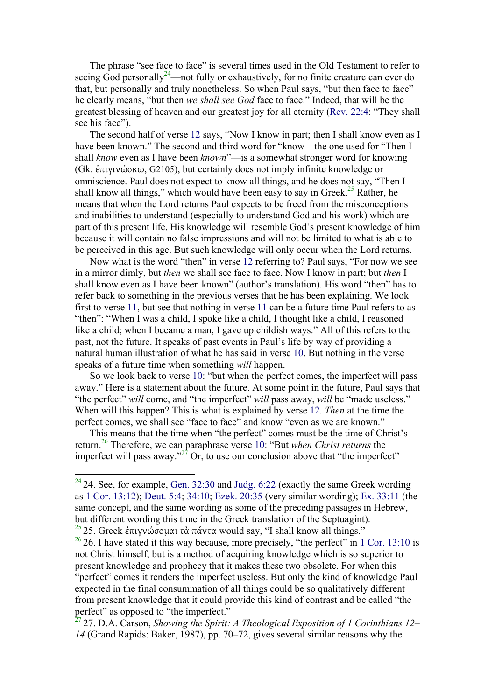The phrase "see face to face" is several times used in the Old Testament to refer to seeing  $\overline{G}$  od personally<sup>24</sup>—not fully or exhaustively, for no finite creature can ever do that, but personally and truly nonetheless. So when Paul says, "but then face to face" he clearly means, "but then *we shall see God* face to face." Indeed, that will be the greatest blessing of heaven and our greatest joy for all eternity (Rev. 22:4: "They shall see his face").

The second half of verse 12 says, "Now I know in part; then I shall know even as I have been known." The second and third word for "know—the one used for "Then I shall *know* even as I have been *known*"—is a somewhat stronger word for knowing (Gk. ἐπιγινώσκω, G2105), but certainly does not imply infinite knowledge or omniscience. Paul does not expect to know all things, and he does not say, "Then I shall know all things," which would have been easy to say in Greek.<sup>25</sup> Rather, he means that when the Lord returns Paul expects to be freed from the misconceptions and inabilities to understand (especially to understand God and his work) which are part of this present life. His knowledge will resemble God's present knowledge of him because it will contain no false impressions and will not be limited to what is able to be perceived in this age. But such knowledge will only occur when the Lord returns.

Now what is the word "then" in verse 12 referring to? Paul says, "For now we see in a mirror dimly, but *then* we shall see face to face. Now I know in part; but *then* I shall know even as I have been known" (author's translation). His word "then" has to refer back to something in the previous verses that he has been explaining. We look first to verse 11, but see that nothing in verse 11 can be a future time Paul refers to as "then": "When I was a child, I spoke like a child, I thought like a child, I reasoned like a child; when I became a man, I gave up childish ways." All of this refers to the past, not the future. It speaks of past events in Paul's life by way of providing a natural human illustration of what he has said in verse 10. But nothing in the verse speaks of a future time when something *will* happen.

So we look back to verse 10: "but when the perfect comes, the imperfect will pass away." Here is a statement about the future. At some point in the future, Paul says that "the perfect" *will* come, and "the imperfect" *will* pass away, *will* be "made useless." When will this happen? This is what is explained by verse 12. *Then* at the time the perfect comes, we shall see "face to face" and know "even as we are known."

This means that the time when "the perfect" comes must be the time of Christ's return.26 Therefore, we can paraphrase verse 10: "But *when Christ returns* the imperfect will pass away." $^{27}$  Or, to use our conclusion above that "the imperfect"

<sup>&</sup>lt;sup>24</sup> 24. See, for example, Gen. 32:30 and Judg. 6:22 (exactly the same Greek wording as 1 Cor. 13:12); Deut. 5:4; 34:10; Ezek. 20:35 (very similar wording); Ex. 33:11 (the same concept, and the same wording as some of the preceding passages in Hebrew, but different wording this time in the Greek translation of the Septuagint).

<sup>25 25.</sup> Greek ἐπιγνώσομαι τὰ πάντα would say, "I shall know all things."

 $\frac{26}{26}$  26. I have stated it this way because, more precisely, "the perfect" in 1 Cor. 13:10 is not Christ himself, but is a method of acquiring knowledge which is so superior to present knowledge and prophecy that it makes these two obsolete. For when this

<sup>&</sup>quot;perfect" comes it renders the imperfect useless. But only the kind of knowledge Paul expected in the final consummation of all things could be so qualitatively different from present knowledge that it could provide this kind of contrast and be called "the perfect" as opposed to "the imperfect."

<sup>27 27.</sup> D.A. Carson, *Showing the Spirit: A Theological Exposition of 1 Corinthians 12– 14* (Grand Rapids: Baker, 1987), pp. 70–72, gives several similar reasons why the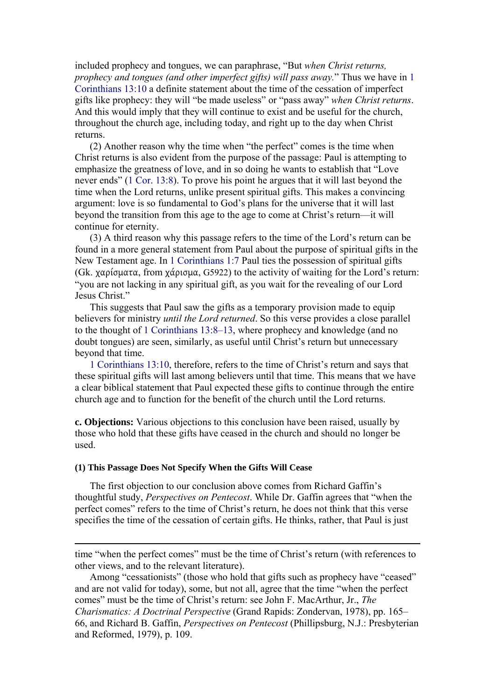included prophecy and tongues, we can paraphrase, "But *when Christ returns, prophecy and tongues (and other imperfect gifts) will pass away.*" Thus we have in 1 Corinthians 13:10 a definite statement about the time of the cessation of imperfect gifts like prophecy: they will "be made useless" or "pass away" *when Christ returns*. And this would imply that they will continue to exist and be useful for the church, throughout the church age, including today, and right up to the day when Christ returns.

(2) Another reason why the time when "the perfect" comes is the time when Christ returns is also evident from the purpose of the passage: Paul is attempting to emphasize the greatness of love, and in so doing he wants to establish that "Love never ends" (1 Cor. 13:8). To prove his point he argues that it will last beyond the time when the Lord returns, unlike present spiritual gifts. This makes a convincing argument: love is so fundamental to God's plans for the universe that it will last beyond the transition from this age to the age to come at Christ's return—it will continue for eternity.

(3) A third reason why this passage refers to the time of the Lord's return can be found in a more general statement from Paul about the purpose of spiritual gifts in the New Testament age. In 1 Corinthians 1:7 Paul ties the possession of spiritual gifts (Gk. χαρίσματα, from χάρισμα, G5922) to the activity of waiting for the Lord's return: "you are not lacking in any spiritual gift, as you wait for the revealing of our Lord Jesus Christ."

This suggests that Paul saw the gifts as a temporary provision made to equip believers for ministry *until the Lord returned*. So this verse provides a close parallel to the thought of 1 Corinthians 13:8–13, where prophecy and knowledge (and no doubt tongues) are seen, similarly, as useful until Christ's return but unnecessary beyond that time.

1 Corinthians 13:10, therefore, refers to the time of Christ's return and says that these spiritual gifts will last among believers until that time. This means that we have a clear biblical statement that Paul expected these gifts to continue through the entire church age and to function for the benefit of the church until the Lord returns.

**c. Objections:** Various objections to this conclusion have been raised, usually by those who hold that these gifts have ceased in the church and should no longer be used.

#### **(1) This Passage Does Not Specify When the Gifts Will Cease**

 $\overline{a}$ 

The first objection to our conclusion above comes from Richard Gaffin's thoughtful study, *Perspectives on Pentecost*. While Dr. Gaffin agrees that "when the perfect comes" refers to the time of Christ's return, he does not think that this verse specifies the time of the cessation of certain gifts. He thinks, rather, that Paul is just

time "when the perfect comes" must be the time of Christ's return (with references to other views, and to the relevant literature).

Among "cessationists" (those who hold that gifts such as prophecy have "ceased" and are not valid for today), some, but not all, agree that the time "when the perfect comes" must be the time of Christ's return: see John F. MacArthur, Jr., *The Charismatics: A Doctrinal Perspective* (Grand Rapids: Zondervan, 1978), pp. 165– 66, and Richard B. Gaffin, *Perspectives on Pentecost* (Phillipsburg, N.J.: Presbyterian and Reformed, 1979), p. 109.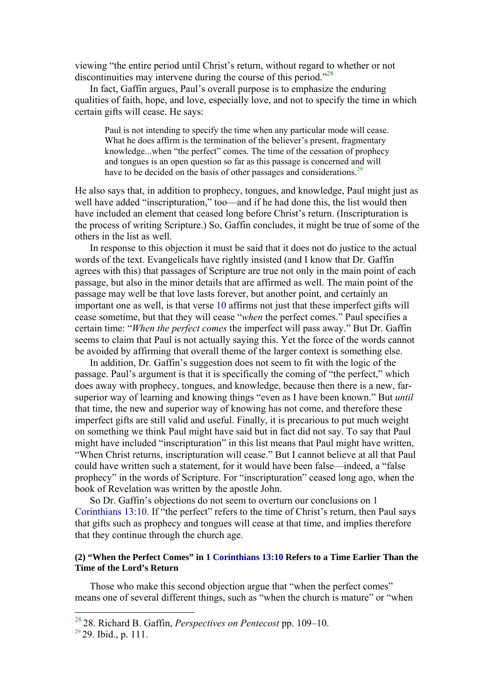viewing "the entire period until Christ's return, without regard to whether or not discontinuities may intervene during the course of this period."<sup>28</sup>

In fact, Gaffin argues, Paul's overall purpose is to emphasize the enduring qualities of faith, hope, and love, especially love, and not to specify the time in which certain gifts will cease. He says:

Paul is not intending to specify the time when any particular mode will cease. What he does affirm is the termination of the believer's present, fragmentary knowledge...when "the perfect" comes. The time of the cessation of prophecy and tongues is an open question so far as this passage is concerned and will have to be decided on the basis of other passages and considerations.<sup>29</sup>

He also says that, in addition to prophecy, tongues, and knowledge, Paul might just as well have added "inscripturation," too—and if he had done this, the list would then have included an element that ceased long before Christ's return. (Inscripturation is the process of writing Scripture.) So, Gaffin concludes, it might be true of some of the others in the list as well.

In response to this objection it must be said that it does not do justice to the actual words of the text. Evangelicals have rightly insisted (and I know that Dr. Gaffin agrees with this) that passages of Scripture are true not only in the main point of each passage, but also in the minor details that are affirmed as well. The main point of the passage may well be that love lasts forever, but another point, and certainly an important one as well, is that verse 10 affirms not just that these imperfect gifts will cease sometime, but that they will cease "*when* the perfect comes." Paul specifies a certain time: "*When the perfect comes* the imperfect will pass away." But Dr. Gaffin seems to claim that Paul is not actually saying this. Yet the force of the words cannot be avoided by affirming that overall theme of the larger context is something else.

In addition, Dr. Gaffin's suggestion does not seem to fit with the logic of the passage. Paul's argument is that it is specifically the coming of "the perfect," which does away with prophecy, tongues, and knowledge, because then there is a new, farsuperior way of learning and knowing things "even as I have been known." But *until* that time, the new and superior way of knowing has not come, and therefore these imperfect gifts are still valid and useful. Finally, it is precarious to put much weight on something we think Paul might have said but in fact did not say. To say that Paul might have included "inscripturation" in this list means that Paul might have written, "When Christ returns, inscripturation will cease." But I cannot believe at all that Paul could have written such a statement, for it would have been false—indeed, a "false prophecy" in the words of Scripture. For "inscripturation" ceased long ago, when the book of Revelation was written by the apostle John.

So Dr. Gaffin's objections do not seem to overturn our conclusions on 1 Corinthians 13:10. If "the perfect" refers to the time of Christ's return, then Paul says that gifts such as prophecy and tongues will cease at that time, and implies therefore that they continue through the church age.

## **(2) "When the Perfect Comes" in 1 Corinthians 13:10 Refers to a Time Earlier Than the Time of the Lord's Return**

Those who make this second objection argue that "when the perfect comes" means one of several different things, such as "when the church is mature" or "when

<sup>28 28.</sup> Richard B. Gaffin, *Perspectives on Pentecost* pp. 109–10.

 $29$  29. Ibid., p. 111.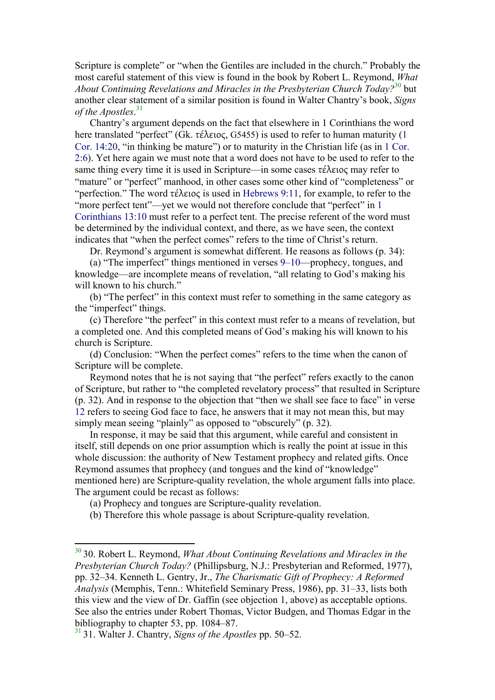Scripture is complete" or "when the Gentiles are included in the church." Probably the most careful statement of this view is found in the book by Robert L. Reymond, *What About Continuing Revelations and Miracles in the Presbyterian Church Today?*30 but another clear statement of a similar position is found in Walter Chantry's book, *Signs of the Apostles*. 31

Chantry's argument depends on the fact that elsewhere in 1 Corinthians the word here translated "perfect" (Gk. τέλειος, G5455) is used to refer to human maturity (1 Cor. 14:20, "in thinking be mature") or to maturity in the Christian life (as in 1 Cor. 2:6). Yet here again we must note that a word does not have to be used to refer to the same thing every time it is used in Scripture—in some cases τέλειος may refer to "mature" or "perfect" manhood, in other cases some other kind of "completeness" or "perfection." The word τέλειος is used in Hebrews 9:11, for example, to refer to the "more perfect tent"—yet we would not therefore conclude that "perfect" in 1 Corinthians 13:10 must refer to a perfect tent. The precise referent of the word must be determined by the individual context, and there, as we have seen, the context indicates that "when the perfect comes" refers to the time of Christ's return.

Dr. Reymond's argument is somewhat different. He reasons as follows (p. 34):

(a) "The imperfect" things mentioned in verses 9–10—prophecy, tongues, and knowledge—are incomplete means of revelation, "all relating to God's making his will known to his church."

(b) "The perfect" in this context must refer to something in the same category as the "imperfect" things.

(c) Therefore "the perfect" in this context must refer to a means of revelation, but a completed one. And this completed means of God's making his will known to his church is Scripture.

(d) Conclusion: "When the perfect comes" refers to the time when the canon of Scripture will be complete.

Reymond notes that he is not saying that "the perfect" refers exactly to the canon of Scripture, but rather to "the completed revelatory process" that resulted in Scripture (p. 32). And in response to the objection that "then we shall see face to face" in verse 12 refers to seeing God face to face, he answers that it may not mean this, but may simply mean seeing "plainly" as opposed to "obscurely" (p. 32).

In response, it may be said that this argument, while careful and consistent in itself, still depends on one prior assumption which is really the point at issue in this whole discussion: the authority of New Testament prophecy and related gifts. Once Reymond assumes that prophecy (and tongues and the kind of "knowledge" mentioned here) are Scripture-quality revelation, the whole argument falls into place. The argument could be recast as follows:

(a) Prophecy and tongues are Scripture-quality revelation.

(b) Therefore this whole passage is about Scripture-quality revelation.

<sup>30 30.</sup> Robert L. Reymond, *What About Continuing Revelations and Miracles in the Presbyterian Church Today?* (Phillipsburg, N.J.: Presbyterian and Reformed, 1977), pp. 32–34. Kenneth L. Gentry, Jr., *The Charismatic Gift of Prophecy: A Reformed Analysis* (Memphis, Tenn.: Whitefield Seminary Press, 1986), pp. 31–33, lists both this view and the view of Dr. Gaffin (see objection 1, above) as acceptable options. See also the entries under Robert Thomas, Victor Budgen, and Thomas Edgar in the bibliography to chapter 53, pp. 1084–87.

<sup>31 31.</sup> Walter J. Chantry, *Signs of the Apostles* pp. 50–52.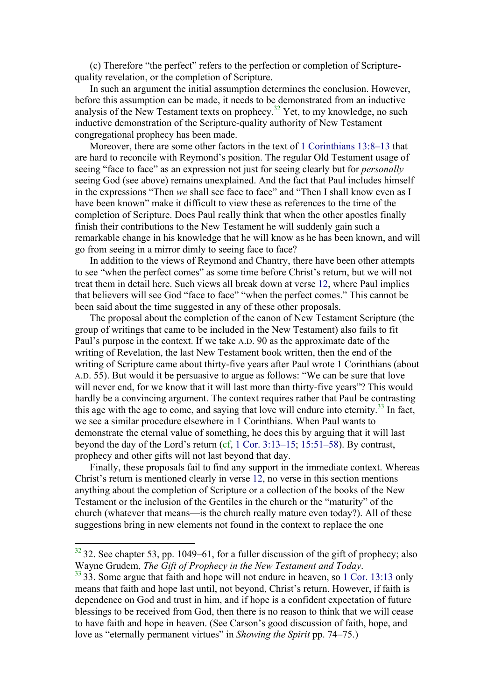(c) Therefore "the perfect" refers to the perfection or completion of Scripturequality revelation, or the completion of Scripture.

In such an argument the initial assumption determines the conclusion. However, before this assumption can be made, it needs to be demonstrated from an inductive analysis of the New Testament texts on prophecy.<sup>32</sup> Yet, to my knowledge, no such inductive demonstration of the Scripture-quality authority of New Testament congregational prophecy has been made.

Moreover, there are some other factors in the text of 1 Corinthians 13:8–13 that are hard to reconcile with Reymond's position. The regular Old Testament usage of seeing "face to face" as an expression not just for seeing clearly but for *personally* seeing God (see above) remains unexplained. And the fact that Paul includes himself in the expressions "Then *we* shall see face to face" and "Then I shall know even as I have been known" make it difficult to view these as references to the time of the completion of Scripture. Does Paul really think that when the other apostles finally finish their contributions to the New Testament he will suddenly gain such a remarkable change in his knowledge that he will know as he has been known, and will go from seeing in a mirror dimly to seeing face to face?

In addition to the views of Reymond and Chantry, there have been other attempts to see "when the perfect comes" as some time before Christ's return, but we will not treat them in detail here. Such views all break down at verse 12, where Paul implies that believers will see God "face to face" "when the perfect comes." This cannot be been said about the time suggested in any of these other proposals.

The proposal about the completion of the canon of New Testament Scripture (the group of writings that came to be included in the New Testament) also fails to fit Paul's purpose in the context. If we take A.D. 90 as the approximate date of the writing of Revelation, the last New Testament book written, then the end of the writing of Scripture came about thirty-five years after Paul wrote 1 Corinthians (about A.D. 55). But would it be persuasive to argue as follows: "We can be sure that love will never end, for we know that it will last more than thirty-five years"? This would hardly be a convincing argument. The context requires rather that Paul be contrasting this age with the age to come, and saying that love will endure into eternity.<sup>33</sup> In fact, we see a similar procedure elsewhere in 1 Corinthians. When Paul wants to demonstrate the eternal value of something, he does this by arguing that it will last beyond the day of the Lord's return (cf, 1 Cor. 3:13–15; 15:51–58). By contrast, prophecy and other gifts will not last beyond that day.

Finally, these proposals fail to find any support in the immediate context. Whereas Christ's return is mentioned clearly in verse 12, no verse in this section mentions anything about the completion of Scripture or a collection of the books of the New Testament or the inclusion of the Gentiles in the church or the "maturity" of the church (whatever that means—is the church really mature even today?). All of these suggestions bring in new elements not found in the context to replace the one

 $32$  32. See chapter 53, pp. 1049–61, for a fuller discussion of the gift of prophecy; also Wayne Grudem, *The Gift of Prophecy in the New Testament and Today*.<br><sup>33</sup> 33. Some argue that faith and hope will not endure in heaven, so 1 Cor. 13:13 only

means that faith and hope last until, not beyond, Christ's return. However, if faith is dependence on God and trust in him, and if hope is a confident expectation of future blessings to be received from God, then there is no reason to think that we will cease to have faith and hope in heaven. (See Carson's good discussion of faith, hope, and love as "eternally permanent virtues" in *Showing the Spirit* pp. 74–75.)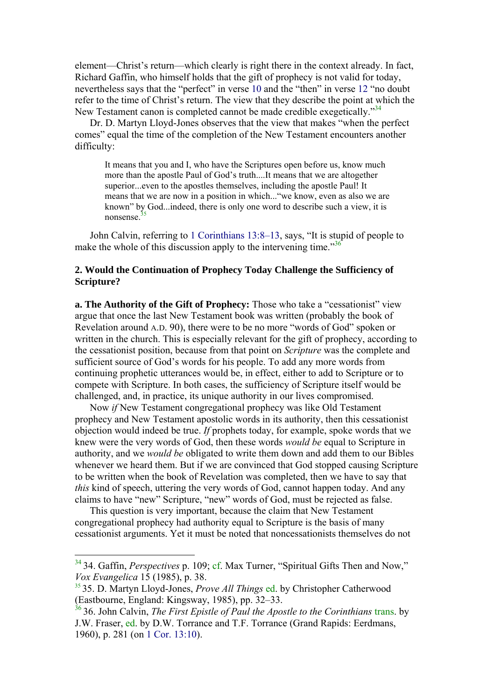element—Christ's return—which clearly is right there in the context already. In fact, Richard Gaffin, who himself holds that the gift of prophecy is not valid for today, nevertheless says that the "perfect" in verse 10 and the "then" in verse 12 "no doubt refer to the time of Christ's return. The view that they describe the point at which the New Testament canon is completed cannot be made credible exegetically."<sup>34</sup>

Dr. D. Martyn Lloyd-Jones observes that the view that makes "when the perfect comes" equal the time of the completion of the New Testament encounters another difficulty:

It means that you and I, who have the Scriptures open before us, know much more than the apostle Paul of God's truth....It means that we are altogether superior...even to the apostles themselves, including the apostle Paul! It means that we are now in a position in which..."we know, even as also we are known" by God...indeed, there is only one word to describe such a view, it is nonsense.<sup>35</sup>

John Calvin, referring to 1 Corinthians 13:8–13, says, "It is stupid of people to make the whole of this discussion apply to the intervening time.<sup>356</sup>

## **2. Would the Continuation of Prophecy Today Challenge the Sufficiency of Scripture?**

**a. The Authority of the Gift of Prophecy:** Those who take a "cessationist" view argue that once the last New Testament book was written (probably the book of Revelation around A.D. 90), there were to be no more "words of God" spoken or written in the church. This is especially relevant for the gift of prophecy, according to the cessationist position, because from that point on *Scripture* was the complete and sufficient source of God's words for his people. To add any more words from continuing prophetic utterances would be, in effect, either to add to Scripture or to compete with Scripture. In both cases, the sufficiency of Scripture itself would be challenged, and, in practice, its unique authority in our lives compromised.

Now *if* New Testament congregational prophecy was like Old Testament prophecy and New Testament apostolic words in its authority, then this cessationist objection would indeed be true. *If* prophets today, for example, spoke words that we knew were the very words of God, then these words *would be* equal to Scripture in authority, and we *would be* obligated to write them down and add them to our Bibles whenever we heard them. But if we are convinced that God stopped causing Scripture to be written when the book of Revelation was completed, then we have to say that *this* kind of speech, uttering the very words of God, cannot happen today. And any claims to have "new" Scripture, "new" words of God, must be rejected as false.

This question is very important, because the claim that New Testament congregational prophecy had authority equal to Scripture is the basis of many cessationist arguments. Yet it must be noted that noncessationists themselves do not

<sup>&</sup>lt;sup>34</sup> 34. Gaffin, *Perspectives* p. 109; cf. Max Turner, "Spiritual Gifts Then and Now," *Vox Evangelica* 15 (1985), p. 38.

<sup>35 35.</sup> D. Martyn Lloyd-Jones, *Prove All Things* ed. by Christopher Catherwood (Eastbourne, England: Kingsway, 1985), pp. 32–33.

<sup>&</sup>lt;sup>36</sup> 36. John Calvin, *The First Epistle of Paul the Apostle to the Corinthians* trans. by J.W. Fraser, ed. by D.W. Torrance and T.F. Torrance (Grand Rapids: Eerdmans, 1960), p. 281 (on 1 Cor. 13:10).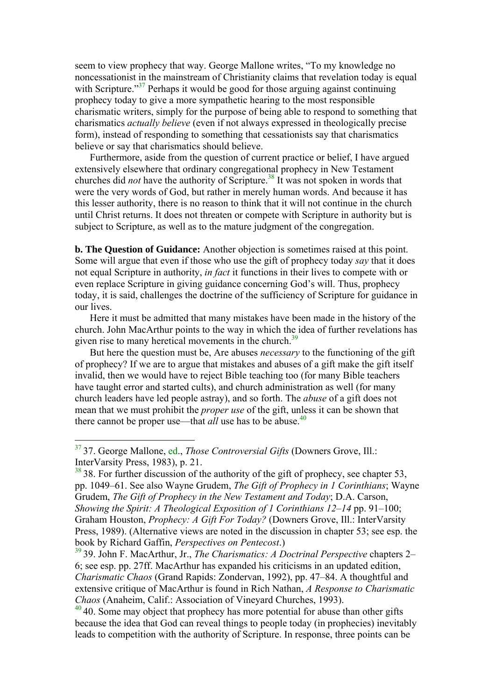seem to view prophecy that way. George Mallone writes, "To my knowledge no noncessationist in the mainstream of Christianity claims that revelation today is equal with Scripture."<sup>37</sup> Perhaps it would be good for those arguing against continuing prophecy today to give a more sympathetic hearing to the most responsible charismatic writers, simply for the purpose of being able to respond to something that charismatics *actually believe* (even if not always expressed in theologically precise form), instead of responding to something that cessationists say that charismatics believe or say that charismatics should believe.

Furthermore, aside from the question of current practice or belief, I have argued extensively elsewhere that ordinary congregational prophecy in New Testament churches did *not* have the authority of Scripture.<sup>38</sup> It was not spoken in words that were the very words of God, but rather in merely human words. And because it has this lesser authority, there is no reason to think that it will not continue in the church until Christ returns. It does not threaten or compete with Scripture in authority but is subject to Scripture, as well as to the mature judgment of the congregation.

**b. The Question of Guidance:** Another objection is sometimes raised at this point. Some will argue that even if those who use the gift of prophecy today *say* that it does not equal Scripture in authority, *in fact* it functions in their lives to compete with or even replace Scripture in giving guidance concerning God's will. Thus, prophecy today, it is said, challenges the doctrine of the sufficiency of Scripture for guidance in our lives.

Here it must be admitted that many mistakes have been made in the history of the church. John MacArthur points to the way in which the idea of further revelations has given rise to many heretical movements in the church.<sup>39</sup>

But here the question must be, Are abuses *necessary* to the functioning of the gift of prophecy? If we are to argue that mistakes and abuses of a gift make the gift itself invalid, then we would have to reject Bible teaching too (for many Bible teachers have taught error and started cults), and church administration as well (for many church leaders have led people astray), and so forth. The *abuse* of a gift does not mean that we must prohibit the *proper use* of the gift, unless it can be shown that there cannot be proper use—that *all* use has to be abuse.<sup>40</sup>

<sup>37 37.</sup> George Mallone, ed., *Those Controversial Gifts* (Downers Grove, Ill.: InterVarsity Press, 1983), p. 21.

 $38\frac{38}{38}$ . For further discussion of the authority of the gift of prophecy, see chapter 53, pp. 1049–61. See also Wayne Grudem, *The Gift of Prophecy in 1 Corinthians*; Wayne Grudem, *The Gift of Prophecy in the New Testament and Today*; D.A. Carson, *Showing the Spirit: A Theological Exposition of 1 Corinthians 12–14* pp. 91–100; Graham Houston, *Prophecy: A Gift For Today?* (Downers Grove, Ill.: InterVarsity Press, 1989). (Alternative views are noted in the discussion in chapter 53; see esp. the book by Richard Gaffin, *Perspectives on Pentecost*.)

<sup>39 39.</sup> John F. MacArthur, Jr., *The Charismatics: A Doctrinal Perspective* chapters 2– 6; see esp. pp. 27ff. MacArthur has expanded his criticisms in an updated edition, *Charismatic Chaos* (Grand Rapids: Zondervan, 1992), pp. 47–84. A thoughtful and extensive critique of MacArthur is found in Rich Nathan, *A Response to Charismatic Chaos* (Anaheim, Calif.: Association of Vineyard Churches, 1993).

 $40$  40. Some may object that prophecy has more potential for abuse than other gifts because the idea that God can reveal things to people today (in prophecies) inevitably leads to competition with the authority of Scripture. In response, three points can be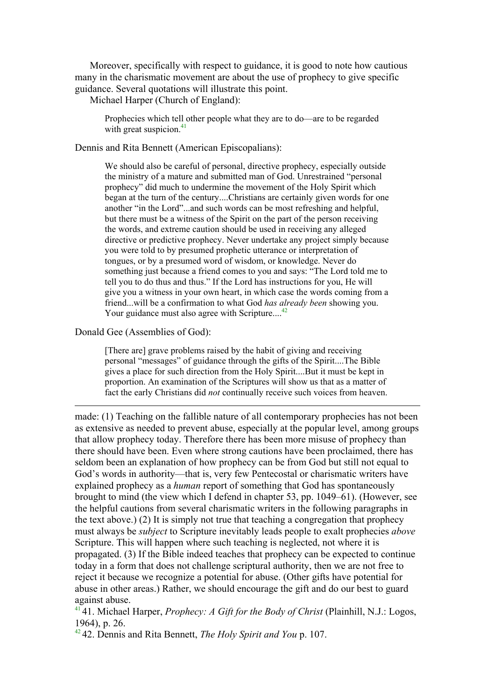Moreover, specifically with respect to guidance, it is good to note how cautious many in the charismatic movement are about the use of prophecy to give specific guidance. Several quotations will illustrate this point.

Michael Harper (Church of England):

Prophecies which tell other people what they are to do—are to be regarded with great suspicion. $41$ 

Dennis and Rita Bennett (American Episcopalians):

We should also be careful of personal, directive prophecy, especially outside the ministry of a mature and submitted man of God. Unrestrained "personal prophecy" did much to undermine the movement of the Holy Spirit which began at the turn of the century....Christians are certainly given words for one another "in the Lord"...and such words can be most refreshing and helpful, but there must be a witness of the Spirit on the part of the person receiving the words, and extreme caution should be used in receiving any alleged directive or predictive prophecy. Never undertake any project simply because you were told to by presumed prophetic utterance or interpretation of tongues, or by a presumed word of wisdom, or knowledge. Never do something just because a friend comes to you and says: "The Lord told me to tell you to do thus and thus." If the Lord has instructions for you, He will give you a witness in your own heart, in which case the words coming from a friend...will be a confirmation to what God *has already been* showing you. Your guidance must also agree with Scripture....<sup>42</sup>

## Donald Gee (Assemblies of God):

 $\overline{a}$ 

[There are] grave problems raised by the habit of giving and receiving personal "messages" of guidance through the gifts of the Spirit....The Bible gives a place for such direction from the Holy Spirit....But it must be kept in proportion. An examination of the Scriptures will show us that as a matter of fact the early Christians did *not* continually receive such voices from heaven.

made: (1) Teaching on the fallible nature of all contemporary prophecies has not been as extensive as needed to prevent abuse, especially at the popular level, among groups that allow prophecy today. Therefore there has been more misuse of prophecy than there should have been. Even where strong cautions have been proclaimed, there has seldom been an explanation of how prophecy can be from God but still not equal to God's words in authority—that is, very few Pentecostal or charismatic writers have explained prophecy as a *human* report of something that God has spontaneously brought to mind (the view which I defend in chapter 53, pp. 1049–61). (However, see the helpful cautions from several charismatic writers in the following paragraphs in the text above.) (2) It is simply not true that teaching a congregation that prophecy must always be *subject* to Scripture inevitably leads people to exalt prophecies *above* Scripture. This will happen where such teaching is neglected, not where it is propagated. (3) If the Bible indeed teaches that prophecy can be expected to continue today in a form that does not challenge scriptural authority, then we are not free to reject it because we recognize a potential for abuse. (Other gifts have potential for abuse in other areas.) Rather, we should encourage the gift and do our best to guard against abuse.

41 41. Michael Harper, *Prophecy: A Gift for the Body of Christ* (Plainhill, N.J.: Logos, 1964), p. 26.

42 42. Dennis and Rita Bennett, *The Holy Spirit and You* p. 107.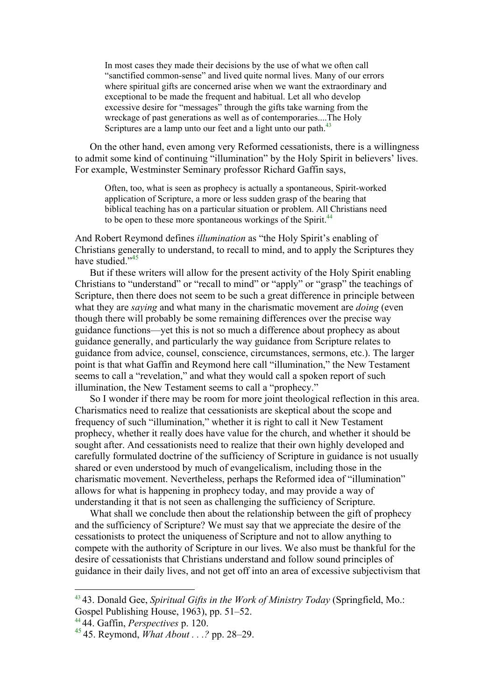In most cases they made their decisions by the use of what we often call "sanctified common-sense" and lived quite normal lives. Many of our errors where spiritual gifts are concerned arise when we want the extraordinary and exceptional to be made the frequent and habitual. Let all who develop excessive desire for "messages" through the gifts take warning from the wreckage of past generations as well as of contemporaries....The Holy Scriptures are a lamp unto our feet and a light unto our path.<sup>43</sup>

On the other hand, even among very Reformed cessationists, there is a willingness to admit some kind of continuing "illumination" by the Holy Spirit in believers' lives. For example, Westminster Seminary professor Richard Gaffin says,

Often, too, what is seen as prophecy is actually a spontaneous, Spirit-worked application of Scripture, a more or less sudden grasp of the bearing that biblical teaching has on a particular situation or problem. All Christians need to be open to these more spontaneous workings of the Spirit.<sup>44</sup>

And Robert Reymond defines *illumination* as "the Holy Spirit's enabling of Christians generally to understand, to recall to mind, and to apply the Scriptures they have studied. $^{1,45}$ 

But if these writers will allow for the present activity of the Holy Spirit enabling Christians to "understand" or "recall to mind" or "apply" or "grasp" the teachings of Scripture, then there does not seem to be such a great difference in principle between what they are *saying* and what many in the charismatic movement are *doing* (even though there will probably be some remaining differences over the precise way guidance functions—yet this is not so much a difference about prophecy as about guidance generally, and particularly the way guidance from Scripture relates to guidance from advice, counsel, conscience, circumstances, sermons, etc.). The larger point is that what Gaffin and Reymond here call "illumination," the New Testament seems to call a "revelation," and what they would call a spoken report of such illumination, the New Testament seems to call a "prophecy."

So I wonder if there may be room for more joint theological reflection in this area. Charismatics need to realize that cessationists are skeptical about the scope and frequency of such "illumination," whether it is right to call it New Testament prophecy, whether it really does have value for the church, and whether it should be sought after. And cessationists need to realize that their own highly developed and carefully formulated doctrine of the sufficiency of Scripture in guidance is not usually shared or even understood by much of evangelicalism, including those in the charismatic movement. Nevertheless, perhaps the Reformed idea of "illumination" allows for what is happening in prophecy today, and may provide a way of understanding it that is not seen as challenging the sufficiency of Scripture.

What shall we conclude then about the relationship between the gift of prophecy and the sufficiency of Scripture? We must say that we appreciate the desire of the cessationists to protect the uniqueness of Scripture and not to allow anything to compete with the authority of Scripture in our lives. We also must be thankful for the desire of cessationists that Christians understand and follow sound principles of guidance in their daily lives, and not get off into an area of excessive subjectivism that

<sup>43 43.</sup> Donald Gee, *Spiritual Gifts in the Work of Ministry Today* (Springfield, Mo.: Gospel Publishing House, 1963), pp. 51–52.

<sup>44 44.</sup> Gaffin, *Perspectives* p. 120.

<sup>45 45.</sup> Reymond, *What About . . .?* pp. 28–29.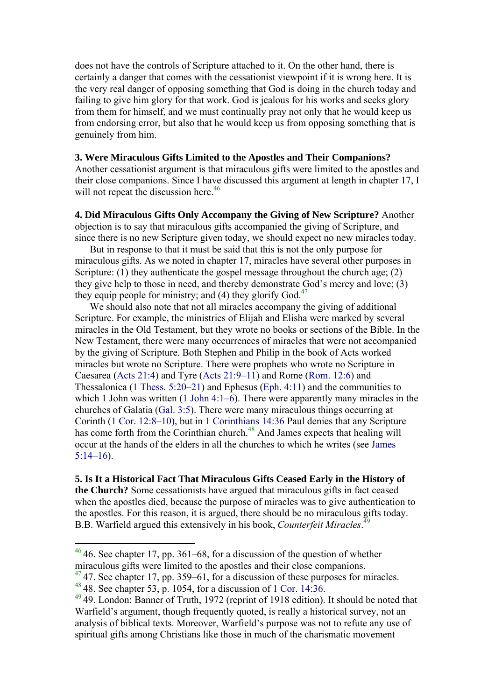does not have the controls of Scripture attached to it. On the other hand, there is certainly a danger that comes with the cessationist viewpoint if it is wrong here. It is the very real danger of opposing something that God is doing in the church today and failing to give him glory for that work. God is jealous for his works and seeks glory from them for himself, and we must continually pray not only that he would keep us from endorsing error, but also that he would keep us from opposing something that is genuinely from him.

#### **3. Were Miraculous Gifts Limited to the Apostles and Their Companions?**

Another cessationist argument is that miraculous gifts were limited to the apostles and their close companions. Since I have discussed this argument at length in chapter 17, I will not repeat the discussion here.<sup>46</sup>

## **4. Did Miraculous Gifts Only Accompany the Giving of New Scripture?** Another objection is to say that miraculous gifts accompanied the giving of Scripture, and since there is no new Scripture given today, we should expect no new miracles today.

But in response to that it must be said that this is not the only purpose for miraculous gifts. As we noted in chapter 17, miracles have several other purposes in Scripture: (1) they authenticate the gospel message throughout the church age; (2) they give help to those in need, and thereby demonstrate God's mercy and love; (3) they equip people for ministry; and (4) they glorify God. $47$ 

We should also note that not all miracles accompany the giving of additional Scripture. For example, the ministries of Elijah and Elisha were marked by several miracles in the Old Testament, but they wrote no books or sections of the Bible. In the New Testament, there were many occurrences of miracles that were not accompanied by the giving of Scripture. Both Stephen and Philip in the book of Acts worked miracles but wrote no Scripture. There were prophets who wrote no Scripture in Caesarea (Acts 21:4) and Tyre (Acts 21:9–11) and Rome (Rom. 12:6) and Thessalonica (1 Thess. 5:20–21) and Ephesus (Eph. 4:11) and the communities to which 1 John was written (1 John 4:1–6). There were apparently many miracles in the churches of Galatia (Gal. 3:5). There were many miraculous things occurring at Corinth (1 Cor. 12:8–10), but in 1 Corinthians 14:36 Paul denies that any Scripture has come forth from the Corinthian church.<sup>48</sup> And James expects that healing will occur at the hands of the elders in all the churches to which he writes (see James 5:14–16).

# **5. Is It a Historical Fact That Miraculous Gifts Ceased Early in the History of**

**the Church?** Some cessationists have argued that miraculous gifts in fact ceased when the apostles died, because the purpose of miracles was to give authentication to the apostles. For this reason, it is argued, there should be no miraculous gifts today. B.B. Warfield argued this extensively in his book, *Counterfeit Miracles*. 49

 $46$  46. See chapter 17, pp. 361–68, for a discussion of the question of whether miraculous gifts were limited to the apostles and their close companions.

<sup>&</sup>lt;sup>47</sup> 47. See chapter 17, pp. 359–61, for a discussion of these purposes for miracles.<br><sup>48</sup> 48. See chapter 53, p. 1054, for a discussion of 1 Cor. 14:36.

 $49$  49. London: Banner of Truth, 1972 (reprint of 1918 edition). It should be noted that Warfield's argument, though frequently quoted, is really a historical survey, not an analysis of biblical texts. Moreover, Warfield's purpose was not to refute any use of spiritual gifts among Christians like those in much of the charismatic movement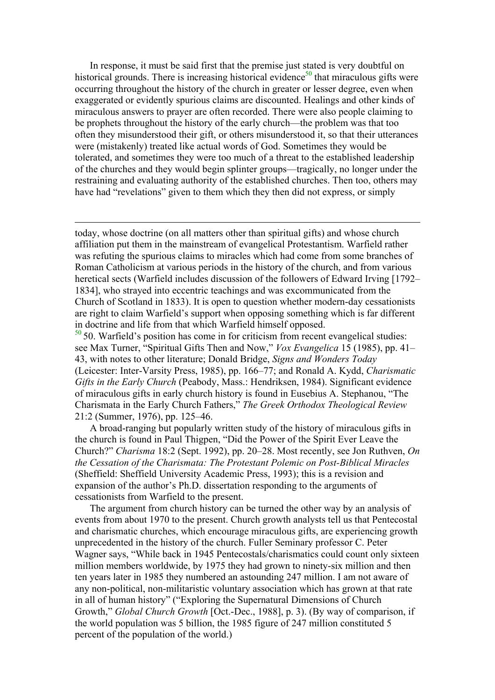In response, it must be said first that the premise just stated is very doubtful on historical grounds. There is increasing historical evidence<sup>50</sup> that miraculous gifts were occurring throughout the history of the church in greater or lesser degree, even when exaggerated or evidently spurious claims are discounted. Healings and other kinds of miraculous answers to prayer are often recorded. There were also people claiming to be prophets throughout the history of the early church—the problem was that too often they misunderstood their gift, or others misunderstood it, so that their utterances were (mistakenly) treated like actual words of God. Sometimes they would be tolerated, and sometimes they were too much of a threat to the established leadership of the churches and they would begin splinter groups—tragically, no longer under the restraining and evaluating authority of the established churches. Then too, others may have had "revelations" given to them which they then did not express, or simply

today, whose doctrine (on all matters other than spiritual gifts) and whose church affiliation put them in the mainstream of evangelical Protestantism. Warfield rather was refuting the spurious claims to miracles which had come from some branches of Roman Catholicism at various periods in the history of the church, and from various heretical sects (Warfield includes discussion of the followers of Edward Irving [1792– 1834], who strayed into eccentric teachings and was excommunicated from the Church of Scotland in 1833). It is open to question whether modern-day cessationists are right to claim Warfield's support when opposing something which is far different in doctrine and life from that which Warfield himself opposed.

 $\overline{a}$ 

 $50$  50. Warfield's position has come in for criticism from recent evangelical studies: see Max Turner, "Spiritual Gifts Then and Now," *Vox Evangelica* 15 (1985), pp. 41– 43, with notes to other literature; Donald Bridge, *Signs and Wonders Today* (Leicester: Inter-Varsity Press, 1985), pp. 166–77; and Ronald A. Kydd, *Charismatic Gifts in the Early Church* (Peabody, Mass.: Hendriksen, 1984). Significant evidence of miraculous gifts in early church history is found in Eusebius A. Stephanou, "The Charismata in the Early Church Fathers," *The Greek Orthodox Theological Review* 21:2 (Summer, 1976), pp. 125–46.

A broad-ranging but popularly written study of the history of miraculous gifts in the church is found in Paul Thigpen, "Did the Power of the Spirit Ever Leave the Church?" *Charisma* 18:2 (Sept. 1992), pp. 20–28. Most recently, see Jon Ruthven, *On the Cessation of the Charismata: The Protestant Polemic on Post-Biblical Miracles* (Sheffield: Sheffield University Academic Press, 1993); this is a revision and expansion of the author's Ph.D. dissertation responding to the arguments of cessationists from Warfield to the present.

The argument from church history can be turned the other way by an analysis of events from about 1970 to the present. Church growth analysts tell us that Pentecostal and charismatic churches, which encourage miraculous gifts, are experiencing growth unprecedented in the history of the church. Fuller Seminary professor C. Peter Wagner says, "While back in 1945 Pentecostals/charismatics could count only sixteen million members worldwide, by 1975 they had grown to ninety-six million and then ten years later in 1985 they numbered an astounding 247 million. I am not aware of any non-political, non-militaristic voluntary association which has grown at that rate in all of human history" ("Exploring the Supernatural Dimensions of Church Growth," *Global Church Growth* [Oct.-Dec., 1988], p. 3). (By way of comparison, if the world population was 5 billion, the 1985 figure of 247 million constituted 5 percent of the population of the world.)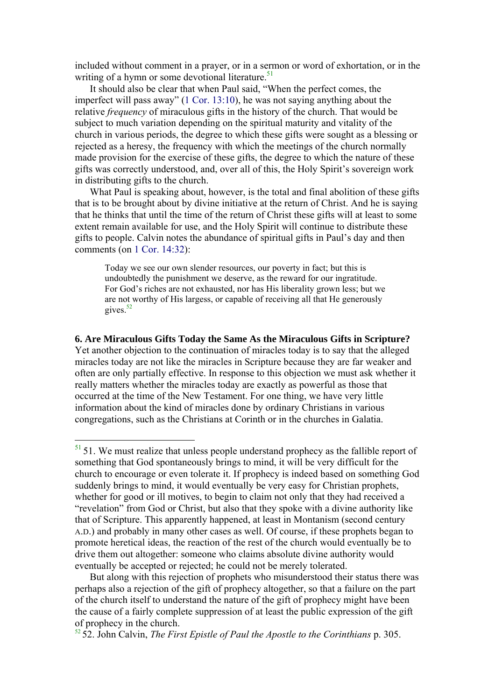included without comment in a prayer, or in a sermon or word of exhortation, or in the writing of a hymn or some devotional literature. $51$ 

It should also be clear that when Paul said, "When the perfect comes, the imperfect will pass away" (1 Cor. 13:10), he was not saying anything about the relative *frequency* of miraculous gifts in the history of the church. That would be subject to much variation depending on the spiritual maturity and vitality of the church in various periods, the degree to which these gifts were sought as a blessing or rejected as a heresy, the frequency with which the meetings of the church normally made provision for the exercise of these gifts, the degree to which the nature of these gifts was correctly understood, and, over all of this, the Holy Spirit's sovereign work in distributing gifts to the church.

What Paul is speaking about, however, is the total and final abolition of these gifts that is to be brought about by divine initiative at the return of Christ. And he is saying that he thinks that until the time of the return of Christ these gifts will at least to some extent remain available for use, and the Holy Spirit will continue to distribute these gifts to people. Calvin notes the abundance of spiritual gifts in Paul's day and then comments (on 1 Cor. 14:32):

Today we see our own slender resources, our poverty in fact; but this is undoubtedly the punishment we deserve, as the reward for our ingratitude. For God's riches are not exhausted, nor has His liberality grown less; but we are not worthy of His largess, or capable of receiving all that He generously gives. $52$ 

#### **6. Are Miraculous Gifts Today the Same As the Miraculous Gifts in Scripture?**

Yet another objection to the continuation of miracles today is to say that the alleged miracles today are not like the miracles in Scripture because they are far weaker and often are only partially effective. In response to this objection we must ask whether it really matters whether the miracles today are exactly as powerful as those that occurred at the time of the New Testament. For one thing, we have very little information about the kind of miracles done by ordinary Christians in various congregations, such as the Christians at Corinth or in the churches in Galatia.

 $\overline{a}$ 

But along with this rejection of prophets who misunderstood their status there was perhaps also a rejection of the gift of prophecy altogether, so that a failure on the part of the church itself to understand the nature of the gift of prophecy might have been the cause of a fairly complete suppression of at least the public expression of the gift of prophecy in the church.

 $51$  51. We must realize that unless people understand prophecy as the fallible report of something that God spontaneously brings to mind, it will be very difficult for the church to encourage or even tolerate it. If prophecy is indeed based on something God suddenly brings to mind, it would eventually be very easy for Christian prophets, whether for good or ill motives, to begin to claim not only that they had received a "revelation" from God or Christ, but also that they spoke with a divine authority like that of Scripture. This apparently happened, at least in Montanism (second century A.D.) and probably in many other cases as well. Of course, if these prophets began to promote heretical ideas, the reaction of the rest of the church would eventually be to drive them out altogether: someone who claims absolute divine authority would eventually be accepted or rejected; he could not be merely tolerated.

<sup>52 52.</sup> John Calvin, *The First Epistle of Paul the Apostle to the Corinthians* p. 305.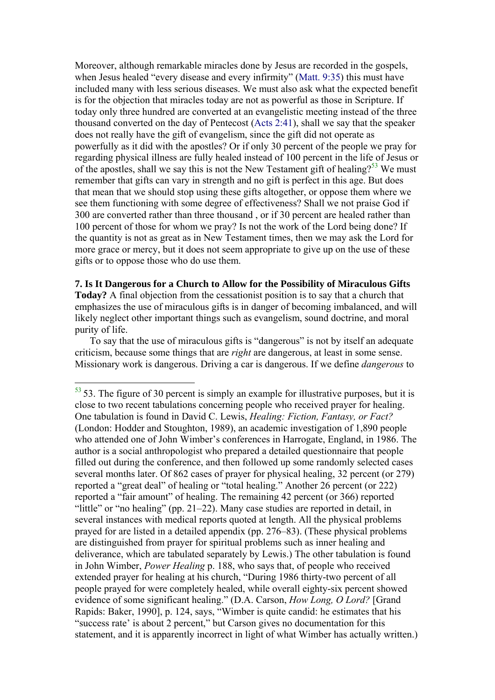Moreover, although remarkable miracles done by Jesus are recorded in the gospels, when Jesus healed "every disease and every infirmity" (Matt. 9:35) this must have included many with less serious diseases. We must also ask what the expected benefit is for the objection that miracles today are not as powerful as those in Scripture. If today only three hundred are converted at an evangelistic meeting instead of the three thousand converted on the day of Pentecost (Acts 2:41), shall we say that the speaker does not really have the gift of evangelism, since the gift did not operate as powerfully as it did with the apostles? Or if only 30 percent of the people we pray for regarding physical illness are fully healed instead of 100 percent in the life of Jesus or of the apostles, shall we say this is not the New Testament gift of healing?<sup>53</sup> We must remember that gifts can vary in strength and no gift is perfect in this age. But does that mean that we should stop using these gifts altogether, or oppose them where we see them functioning with some degree of effectiveness? Shall we not praise God if 300 are converted rather than three thousand , or if 30 percent are healed rather than 100 percent of those for whom we pray? Is not the work of the Lord being done? If the quantity is not as great as in New Testament times, then we may ask the Lord for more grace or mercy, but it does not seem appropriate to give up on the use of these gifts or to oppose those who do use them.

**7. Is It Dangerous for a Church to Allow for the Possibility of Miraculous Gifts Today?** A final objection from the cessationist position is to say that a church that emphasizes the use of miraculous gifts is in danger of becoming imbalanced, and will likely neglect other important things such as evangelism, sound doctrine, and moral purity of life.

To say that the use of miraculous gifts is "dangerous" is not by itself an adequate criticism, because some things that are *right* are dangerous, at least in some sense. Missionary work is dangerous. Driving a car is dangerous. If we define *dangerous* to

 $53$  53. The figure of 30 percent is simply an example for illustrative purposes, but it is close to two recent tabulations concerning people who received prayer for healing. One tabulation is found in David C. Lewis, *Healing: Fiction, Fantasy, or Fact?* (London: Hodder and Stoughton, 1989), an academic investigation of 1,890 people who attended one of John Wimber's conferences in Harrogate, England, in 1986. The author is a social anthropologist who prepared a detailed questionnaire that people filled out during the conference, and then followed up some randomly selected cases several months later. Of 862 cases of prayer for physical healing, 32 percent (or 279) reported a "great deal" of healing or "total healing." Another 26 percent (or 222) reported a "fair amount" of healing. The remaining 42 percent (or 366) reported "little" or "no healing" (pp. 21–22). Many case studies are reported in detail, in several instances with medical reports quoted at length. All the physical problems prayed for are listed in a detailed appendix (pp. 276–83). (These physical problems are distinguished from prayer for spiritual problems such as inner healing and deliverance, which are tabulated separately by Lewis.) The other tabulation is found in John Wimber, *Power Healing* p. 188, who says that, of people who received extended prayer for healing at his church, "During 1986 thirty-two percent of all people prayed for were completely healed, while overall eighty-six percent showed evidence of some significant healing." (D.A. Carson, *How Long, O Lord?* [Grand Rapids: Baker, 1990], p. 124, says, "Wimber is quite candid: he estimates that his "success rate' is about 2 percent," but Carson gives no documentation for this statement, and it is apparently incorrect in light of what Wimber has actually written.)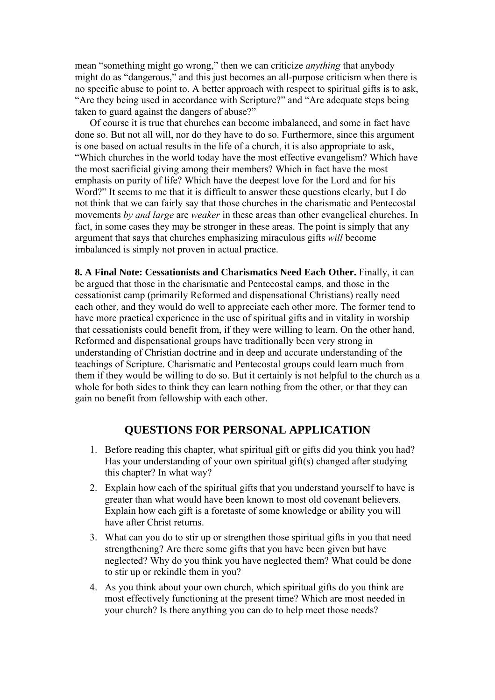mean "something might go wrong," then we can criticize *anything* that anybody might do as "dangerous," and this just becomes an all-purpose criticism when there is no specific abuse to point to. A better approach with respect to spiritual gifts is to ask, "Are they being used in accordance with Scripture?" and "Are adequate steps being taken to guard against the dangers of abuse?"

Of course it is true that churches can become imbalanced, and some in fact have done so. But not all will, nor do they have to do so. Furthermore, since this argument is one based on actual results in the life of a church, it is also appropriate to ask, "Which churches in the world today have the most effective evangelism? Which have the most sacrificial giving among their members? Which in fact have the most emphasis on purity of life? Which have the deepest love for the Lord and for his Word?" It seems to me that it is difficult to answer these questions clearly, but I do not think that we can fairly say that those churches in the charismatic and Pentecostal movements *by and large* are *weaker* in these areas than other evangelical churches. In fact, in some cases they may be stronger in these areas. The point is simply that any argument that says that churches emphasizing miraculous gifts *will* become imbalanced is simply not proven in actual practice.

**8. A Final Note: Cessationists and Charismatics Need Each Other.** Finally, it can be argued that those in the charismatic and Pentecostal camps, and those in the cessationist camp (primarily Reformed and dispensational Christians) really need each other, and they would do well to appreciate each other more. The former tend to have more practical experience in the use of spiritual gifts and in vitality in worship that cessationists could benefit from, if they were willing to learn. On the other hand, Reformed and dispensational groups have traditionally been very strong in understanding of Christian doctrine and in deep and accurate understanding of the teachings of Scripture. Charismatic and Pentecostal groups could learn much from them if they would be willing to do so. But it certainly is not helpful to the church as a whole for both sides to think they can learn nothing from the other, or that they can gain no benefit from fellowship with each other.

# **QUESTIONS FOR PERSONAL APPLICATION**

- 1. Before reading this chapter, what spiritual gift or gifts did you think you had? Has your understanding of your own spiritual gift(s) changed after studying this chapter? In what way?
- 2. Explain how each of the spiritual gifts that you understand yourself to have is greater than what would have been known to most old covenant believers. Explain how each gift is a foretaste of some knowledge or ability you will have after Christ returns.
- 3. What can you do to stir up or strengthen those spiritual gifts in you that need strengthening? Are there some gifts that you have been given but have neglected? Why do you think you have neglected them? What could be done to stir up or rekindle them in you?
- 4. As you think about your own church, which spiritual gifts do you think are most effectively functioning at the present time? Which are most needed in your church? Is there anything you can do to help meet those needs?